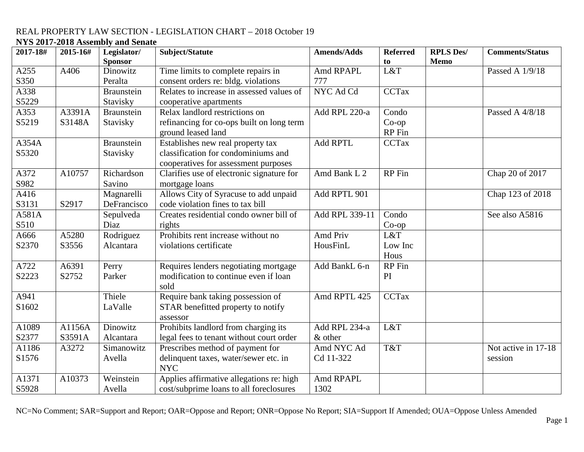# **NYS 2017-2018 Assembly and Senate**

| 2017-18# | 2015-16# | Legislator/       | Subject/Statute                           | Amends/Adds     | <b>Referred</b> | <b>RPLS Des/</b> | <b>Comments/Status</b> |
|----------|----------|-------------------|-------------------------------------------|-----------------|-----------------|------------------|------------------------|
|          |          | <b>Sponsor</b>    |                                           |                 | to              | <b>Memo</b>      |                        |
| A255     | A406     | Dinowitz          | Time limits to complete repairs in        | Amd RPAPL       | L&T             |                  | Passed A 1/9/18        |
| S350     |          | Peralta           | consent orders re: bldg. violations       | 777             |                 |                  |                        |
| A338     |          | <b>Braunstein</b> | Relates to increase in assessed values of | NYC Ad Cd       | <b>CCTax</b>    |                  |                        |
| S5229    |          | Stavisky          | cooperative apartments                    |                 |                 |                  |                        |
| A353     | A3391A   | <b>Braunstein</b> | Relax landlord restrictions on            | Add RPL 220-a   | Condo           |                  | Passed A 4/8/18        |
| S5219    | S3148A   | Stavisky          | refinancing for co-ops built on long term |                 | $Co$ -op        |                  |                        |
|          |          |                   | ground leased land                        |                 | RP Fin          |                  |                        |
| A354A    |          | <b>Braunstein</b> | Establishes new real property tax         | <b>Add RPTL</b> | <b>CCTax</b>    |                  |                        |
| S5320    |          | Stavisky          | classification for condominiums and       |                 |                 |                  |                        |
|          |          |                   | cooperatives for assessment purposes      |                 |                 |                  |                        |
| A372     | A10757   | Richardson        | Clarifies use of electronic signature for | Amd Bank L 2    | RP Fin          |                  | Chap 20 of 2017        |
| S982     |          | Savino            | mortgage loans                            |                 |                 |                  |                        |
| A416     |          | Magnarelli        | Allows City of Syracuse to add unpaid     | Add RPTL 901    |                 |                  | Chap 123 of 2018       |
| S3131    | S2917    | DeFrancisco       | code violation fines to tax bill          |                 |                 |                  |                        |
| A581A    |          | Sepulveda         | Creates residential condo owner bill of   | Add RPL 339-11  | Condo           |                  | See also A5816         |
| S510     |          | Diaz              | rights                                    |                 | $Co$ -op        |                  |                        |
| A666     | A5280    | Rodriguez         | Prohibits rent increase without no        | Amd Priv        | L&T             |                  |                        |
| S2370    | S3556    | Alcantara         | violations certificate                    | HousFinL        | Low Inc         |                  |                        |
|          |          |                   |                                           |                 | Hous            |                  |                        |
| A722     | A6391    | Perry             | Requires lenders negotiating mortgage     | Add BankL 6-n   | RP Fin          |                  |                        |
| S2223    | S2752    | Parker            | modification to continue even if loan     |                 | PI              |                  |                        |
|          |          |                   | sold                                      |                 |                 |                  |                        |
| A941     |          | Thiele            | Require bank taking possession of         | Amd RPTL 425    | <b>CCTax</b>    |                  |                        |
| S1602    |          | LaValle           | STAR benefitted property to notify        |                 |                 |                  |                        |
|          |          |                   | assessor                                  |                 |                 |                  |                        |
| A1089    | A1156A   | Dinowitz          | Prohibits landlord from charging its      | Add RPL 234-a   | L&T             |                  |                        |
| S2377    | S3591A   | Alcantara         | legal fees to tenant without court order  | & other         |                 |                  |                        |
| A1186    | A3272    | Simanowitz        | Prescribes method of payment for          | Amd NYC Ad      | T&T             |                  | Not active in 17-18    |
| S1576    |          | Avella            | delinquent taxes, water/sewer etc. in     | Cd 11-322       |                 |                  | session                |
|          |          |                   | <b>NYC</b>                                |                 |                 |                  |                        |
| A1371    | A10373   | Weinstein         | Applies affirmative allegations re: high  | Amd RPAPL       |                 |                  |                        |
| S5928    |          | Avella            | cost/subprime loans to all foreclosures   | 1302            |                 |                  |                        |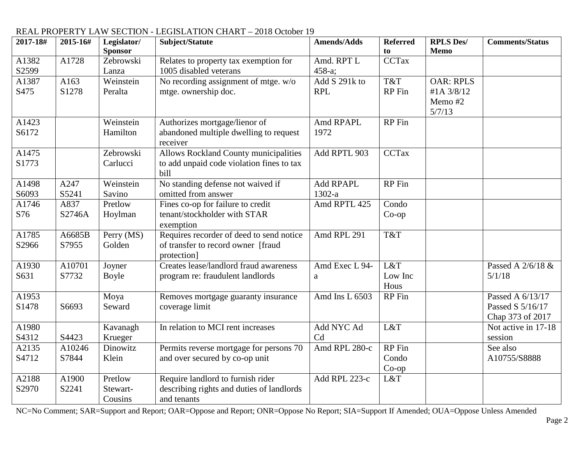| 2017-18#       | 2015-16#        | Legislator/<br><b>Sponsor</b>  | Subject/Statute                                                                                   | <b>Amends/Adds</b>           | <b>Referred</b><br>to       | <b>RPLS Des/</b><br>Memo                            | <b>Comments/Status</b>                                   |
|----------------|-----------------|--------------------------------|---------------------------------------------------------------------------------------------------|------------------------------|-----------------------------|-----------------------------------------------------|----------------------------------------------------------|
| A1382<br>S2599 | A1728           | Zebrowski<br>Lanza             | Relates to property tax exemption for<br>1005 disabled veterans                                   | Amd. RPT L<br>458-a;         | CCTax                       |                                                     |                                                          |
| A1387<br>S475  | A163<br>S1278   | Weinstein<br>Peralta           | No recording assignment of mtge. w/o<br>mtge. ownership doc.                                      | Add S 291k to<br><b>RPL</b>  | T&T<br>RP Fin               | <b>OAR: RPLS</b><br>#1A 3/8/12<br>Memo #2<br>5/7/13 |                                                          |
| A1423<br>S6172 |                 | Weinstein<br>Hamilton          | Authorizes mortgage/lienor of<br>abandoned multiple dwelling to request<br>receiver               | Amd RPAPL<br>1972            | RP Fin                      |                                                     |                                                          |
| A1475<br>S1773 |                 | Zebrowski<br>Carlucci          | <b>Allows Rockland County municipalities</b><br>to add unpaid code violation fines to tax<br>bill | Add RPTL 903                 | <b>CCTax</b>                |                                                     |                                                          |
| A1498<br>S6093 | A247<br>S5241   | Weinstein<br>Savino            | No standing defense not waived if<br>omitted from answer                                          | <b>Add RPAPL</b><br>$1302-a$ | <b>RP</b> Fin               |                                                     |                                                          |
| A1746<br>S76   | A837<br>S2746A  | Pretlow<br>Hoylman             | Fines co-op for failure to credit<br>tenant/stockholder with STAR<br>exemption                    | Amd RPTL 425                 | Condo<br>$Co$ -op           |                                                     |                                                          |
| A1785<br>S2966 | A6685B<br>S7955 | Perry (MS)<br>Golden           | Requires recorder of deed to send notice<br>of transfer to record owner [fraud<br>protection]     | Amd RPL 291                  | T&T                         |                                                     |                                                          |
| A1930<br>S631  | A10701<br>S7732 | Joyner<br>Boyle                | Creates lease/landlord fraud awareness<br>program re: fraudulent landlords                        | Amd Exec L 94-<br>a          | L&T<br>Low Inc<br>Hous      |                                                     | Passed A 2/6/18 &<br>5/1/18                              |
| A1953<br>S1478 | S6693           | Moya<br>Seward                 | Removes mortgage guaranty insurance<br>coverage limit                                             | Amd Ins L 6503               | RP Fin                      |                                                     | Passed A 6/13/17<br>Passed S 5/16/17<br>Chap 373 of 2017 |
| A1980<br>S4312 | S4423           | Kavanagh<br>Krueger            | In relation to MCI rent increases                                                                 | Add NYC Ad<br>Cd             | L&T                         |                                                     | Not active in 17-18<br>session                           |
| A2135<br>S4712 | A10246<br>S7844 | Dinowitz<br>Klein              | Permits reverse mortgage for persons 70<br>and over secured by co-op unit                         | Amd RPL 280-c                | RP Fin<br>Condo<br>$Co$ -op |                                                     | See also<br>A10755/S8888                                 |
| A2188<br>S2970 | A1900<br>S2241  | Pretlow<br>Stewart-<br>Cousins | Require landlord to furnish rider<br>describing rights and duties of landlords<br>and tenants     | Add RPL 223-c                | L&T                         |                                                     |                                                          |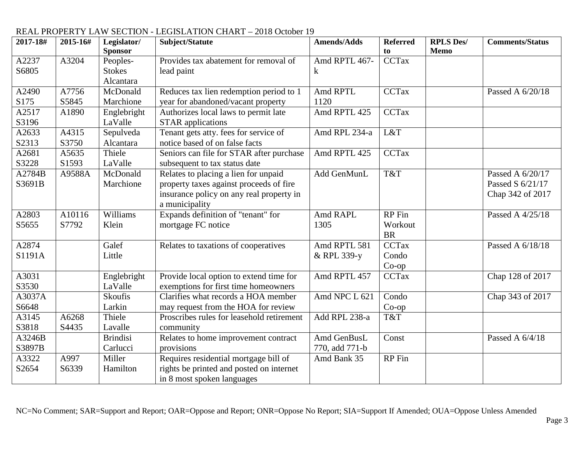| 2017-18# | 2015-16# | Legislator/     | Subject/Statute                           | <b>Amends/Adds</b> | <b>Referred</b>     | <b>RPLS Des/</b> | <b>Comments/Status</b> |
|----------|----------|-----------------|-------------------------------------------|--------------------|---------------------|------------------|------------------------|
|          |          | <b>Sponsor</b>  |                                           |                    | to                  | <b>Memo</b>      |                        |
| A2237    | A3204    | Peoples-        | Provides tax abatement for removal of     | Amd RPTL 467-      | <b>CCTax</b>        |                  |                        |
| S6805    |          | <b>Stokes</b>   | lead paint                                | k                  |                     |                  |                        |
|          |          | Alcantara       |                                           |                    |                     |                  |                        |
| A2490    | A7756    | McDonald        | Reduces tax lien redemption period to 1   | Amd RPTL           | <b>CCTax</b>        |                  | Passed A 6/20/18       |
| S175     | S5845    | Marchione       | year for abandoned/vacant property        | 1120               |                     |                  |                        |
| A2517    | A1890    | Englebright     | Authorizes local laws to permit late      | Amd RPTL 425       | <b>CCTax</b>        |                  |                        |
| S3196    |          | LaValle         | <b>STAR</b> applications                  |                    |                     |                  |                        |
| A2633    | A4315    | Sepulveda       | Tenant gets atty. fees for service of     | Amd RPL 234-a      | L&T                 |                  |                        |
| S2313    | S3750    | Alcantara       | notice based of on false facts            |                    |                     |                  |                        |
| A2681    | A5635    | Thiele          | Seniors can file for STAR after purchase  | Amd RPTL 425       | <b>CCTax</b>        |                  |                        |
| S3228    | S1593    | LaValle         | subsequent to tax status date             |                    |                     |                  |                        |
| A2784B   | A9588A   | McDonald        | Relates to placing a lien for unpaid      | Add GenMunL        | T&T                 |                  | Passed A 6/20/17       |
| S3691B   |          | Marchione       | property taxes against proceeds of fire   |                    |                     |                  | Passed S 6/21/17       |
|          |          |                 | insurance policy on any real property in  |                    |                     |                  | Chap 342 of 2017       |
|          |          |                 | a municipality                            |                    |                     |                  |                        |
| A2803    | A10116   | Williams        | Expands definition of "tenant" for        | Amd RAPL           | $R\overline{P}$ Fin |                  | Passed A 4/25/18       |
| S5655    | S7792    | Klein           | mortgage FC notice                        | 1305               | Workout             |                  |                        |
|          |          |                 |                                           |                    | <b>BR</b>           |                  |                        |
| A2874    |          | Galef           | Relates to taxations of cooperatives      | Amd RPTL 581       | <b>CCTax</b>        |                  | Passed A 6/18/18       |
| S1191A   |          | Little          |                                           | & RPL 339-y        | Condo               |                  |                        |
|          |          |                 |                                           |                    | $Co$ -op            |                  |                        |
| A3031    |          | Englebright     | Provide local option to extend time for   | Amd RPTL 457       | <b>CCTax</b>        |                  | Chap 128 of 2017       |
| S3530    |          | LaValle         | exemptions for first time homeowners      |                    |                     |                  |                        |
| A3037A   |          | Skoufis         | Clarifies what records a HOA member       | Amd NPC L 621      | Condo               |                  | Chap 343 of 2017       |
| S6648    |          | Larkin          | may request from the HOA for review       |                    | $Co$ -op            |                  |                        |
| A3145    | A6268    | Thiele          | Proscribes rules for leasehold retirement | Add RPL 238-a      | T&T                 |                  |                        |
| S3818    | S4435    | Lavalle         | community                                 |                    |                     |                  |                        |
| A3246B   |          | <b>Brindisi</b> | Relates to home improvement contract      | Amd GenBusL        | Const               |                  | Passed A 6/4/18        |
| S3897B   |          | Carlucci        | provisions                                | 770, add 771-b     |                     |                  |                        |
| A3322    | A997     | Miller          | Requires residential mortgage bill of     | Amd Bank 35        | RP Fin              |                  |                        |
| S2654    | S6339    | Hamilton        | rights be printed and posted on internet  |                    |                     |                  |                        |
|          |          |                 | in 8 most spoken languages                |                    |                     |                  |                        |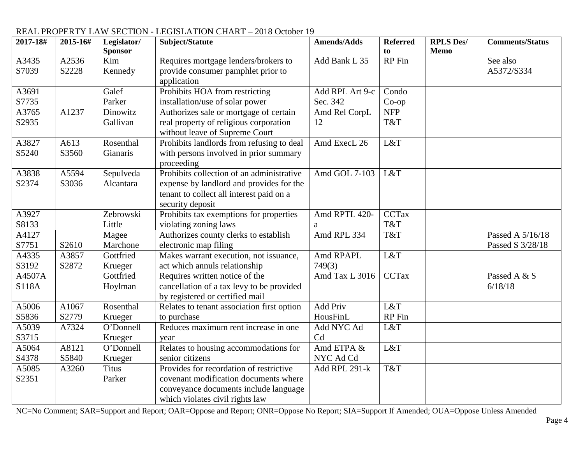| 2017-18# | 2015-16# | Legislator/    | Subject/Statute                            | <b>Amends/Adds</b> | <b>Referred</b> | <b>RPLS Des/</b> | <b>Comments/Status</b> |
|----------|----------|----------------|--------------------------------------------|--------------------|-----------------|------------------|------------------------|
|          |          | <b>Sponsor</b> |                                            |                    | to              | <b>Memo</b>      |                        |
| A3435    | A2536    | Kim            | Requires mortgage lenders/brokers to       | Add Bank L 35      | <b>RP</b> Fin   |                  | See also               |
| S7039    | S2228    | Kennedy        | provide consumer pamphlet prior to         |                    |                 |                  | A5372/S334             |
|          |          |                | application                                |                    |                 |                  |                        |
| A3691    |          | Galef          | Prohibits HOA from restricting             | Add RPL Art 9-c    | Condo           |                  |                        |
| S7735    |          | Parker         | installation/use of solar power            | Sec. 342           | $Co$ -op        |                  |                        |
| A3765    | A1237    | Dinowitz       | Authorizes sale or mortgage of certain     | Amd Rel CorpL      | <b>NFP</b>      |                  |                        |
| S2935    |          | Gallivan       | real property of religious corporation     | 12                 | T&T             |                  |                        |
|          |          |                | without leave of Supreme Court             |                    |                 |                  |                        |
| A3827    | A613     | Rosenthal      | Prohibits landlords from refusing to deal  | Amd ExecL 26       | L&T             |                  |                        |
| S5240    | S3560    | Gianaris       | with persons involved in prior summary     |                    |                 |                  |                        |
|          |          |                | proceeding                                 |                    |                 |                  |                        |
| A3838    | A5594    | Sepulveda      | Prohibits collection of an administrative  | Amd GOL 7-103      | L&T             |                  |                        |
| S2374    | S3036    | Alcantara      | expense by landlord and provides for the   |                    |                 |                  |                        |
|          |          |                | tenant to collect all interest paid on a   |                    |                 |                  |                        |
|          |          |                | security deposit                           |                    |                 |                  |                        |
| A3927    |          | Zebrowski      | Prohibits tax exemptions for properties    | Amd RPTL 420-      | <b>CCTax</b>    |                  |                        |
| S8133    |          | Little         | violating zoning laws                      | a                  | T&T             |                  |                        |
| A4127    |          | Magee          | Authorizes county clerks to establish      | Amd RPL 334        | T&T             |                  | Passed A 5/16/18       |
| S7751    | S2610    | Marchone       | electronic map filing                      |                    |                 |                  | Passed S 3/28/18       |
| A4335    | A3857    | Gottfried      | Makes warrant execution, not issuance,     | Amd RPAPL          | L&T             |                  |                        |
| S3192    | S2872    | Krueger        | act which annuls relationship              | 749(3)             |                 |                  |                        |
| A4507A   |          | Gottfried      | Requires written notice of the             | Amd Tax L 3016     | <b>CCTax</b>    |                  | Passed A & S           |
| S118A    |          | Hoylman        | cancellation of a tax levy to be provided  |                    |                 |                  | 6/18/18                |
|          |          |                | by registered or certified mail            |                    |                 |                  |                        |
| A5006    | A1067    | Rosenthal      | Relates to tenant association first option | Add Priv           | L&T             |                  |                        |
| S5836    | S2779    | Krueger        | to purchase                                | HousFinL           | RP Fin          |                  |                        |
| A5039    | A7324    | O'Donnell      | Reduces maximum rent increase in one       | Add NYC Ad         | L&T             |                  |                        |
| S3715    |          | Krueger        | year                                       | C <sub>d</sub>     |                 |                  |                        |
| A5064    | A8121    | O'Donnell      | Relates to housing accommodations for      | Amd ETPA &         | L&T             |                  |                        |
| S4378    | S5840    | Krueger        | senior citizens                            | NYC Ad Cd          |                 |                  |                        |
| A5085    | A3260    | <b>Titus</b>   | Provides for recordation of restrictive    | Add RPL 291-k      | T&T             |                  |                        |
| S2351    |          | Parker         | covenant modification documents where      |                    |                 |                  |                        |
|          |          |                | conveyance documents include language      |                    |                 |                  |                        |
|          |          |                | which violates civil rights law            |                    |                 |                  |                        |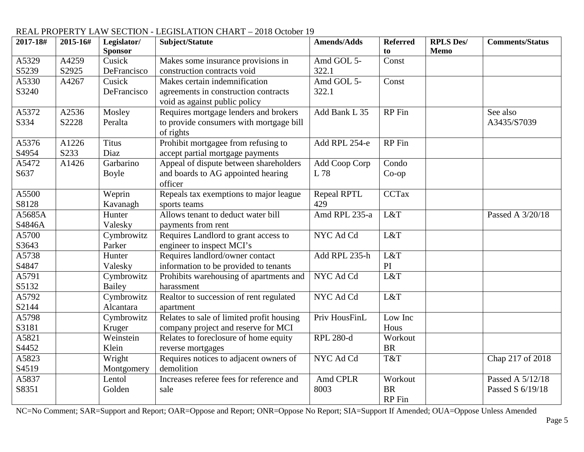#### **2017-18# 2015-16# Legislator/ Sponsor Subject/Statute Amends/Adds Referred to RPLS Des/ Memo Comments/Status** A5329 S5239 A4259 S2925 Cusick DeFrancisco Makes some insurance provisions in construction contracts void Amd GOL 5- 322.1 Const A5330 S3240 A4267 Cusick **DeFrancisco** Makes certain indemnification agreements in construction contracts void as against public policy Amd GOL 5- 322.1 Const A5372 S334 A2536 S2228 Mosley Peralta Requires mortgage lenders and brokers to provide consumers with mortgage bill of rights Add Bank L  $35$  RP Fin See also A3435/S7039 A5376 S4954 A1226 S233 **Titus** Diaz Prohibit mortgagee from refusing to accept partial mortgage payments Add RPL 254-e  $\vert$  RP Fin A5472 S637 A1426 Garbarino Boyle Appeal of dispute between shareholders and boards to AG appointed hearing officer Add Coop Corp L 78 Condo Co-op A5500 S8128 Weprin Kavanagh Repeals tax exemptions to major league sports teams Repeal RPTL 429<br>Amd RPL 235-a CCTax A5685A S4846A Hunter Valesky Allows tenant to deduct water bill payments from rent  $L&T$  Passed A 3/20/18 A5700 S3643 Cymbrowitz Parker Requires Landlord to grant access to engineer to inspect MCI's NYC Ad Cd L&T A5738 S4847 Hunter Valesky Requires landlord/owner contact information to be provided to tenants Add RPL 235-h L&T  $rac{PI}{L&T}$ A5791 S5132 Cymbrowitz Bailey Prohibits warehousing of apartments and harassment  $NYC$  Ad  $Cd$ A5792 S2144 **Cymbrowitz** Alcantara Realtor to succession of rent regulated apartment NYC Ad Cd L&T A5798 S3181 Cymbrowitz Kruger Relates to sale of limited profit housing company project and reserve for MCI Priv HousFinL Low Inc Hous A5821 S4452 Weinstein Klein Relates to foreclosure of home equity reverse mortgages RPL 280-d Workout BR A5823 S4519 Wright Montgomery Requires notices to adjacent owners of demolition NYC Ad Cd T&T Chap 217 of 2018 A5837 S8351 Lentol Golden Increases referee fees for reference and sale Amd CPLR 8003 **Workout** BR RP Fin Passed A 5/12/18 Passed S 6/19/18

# REAL PROPERTY LAW SECTION - LEGISLATION CHART – 2018 October 19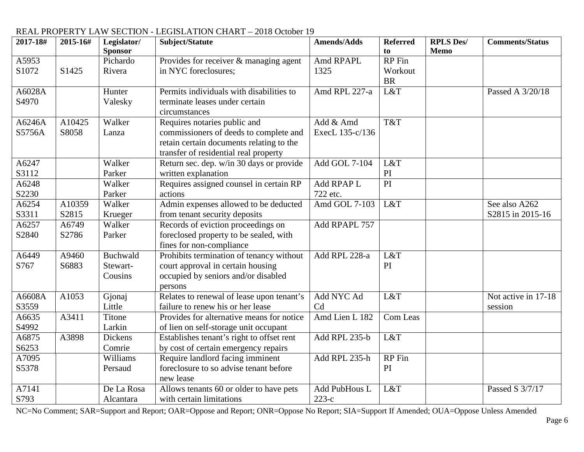| 2017-18# | 2015-16#           | Legislator/<br><b>Sponsor</b> | Subject/Statute                           | <b>Amends/Adds</b> | <b>Referred</b><br>to | <b>RPLS Des/</b><br><b>Memo</b> | <b>Comments/Status</b> |
|----------|--------------------|-------------------------------|-------------------------------------------|--------------------|-----------------------|---------------------------------|------------------------|
| A5953    |                    | Pichardo                      | Provides for receiver & managing agent    | Amd RPAPL          | <b>RP</b> Fin         |                                 |                        |
| S1072    | S1425              | Rivera                        | in NYC foreclosures;                      | 1325               | Workout               |                                 |                        |
|          |                    |                               |                                           |                    | <b>BR</b>             |                                 |                        |
| A6028A   |                    | Hunter                        | Permits individuals with disabilities to  | Amd RPL 227-a      | L&T                   |                                 | Passed A 3/20/18       |
| S4970    |                    | Valesky                       | terminate leases under certain            |                    |                       |                                 |                        |
|          |                    |                               | circumstances                             |                    |                       |                                 |                        |
| A6246A   | A <sub>10425</sub> | Walker                        | Requires notaries public and              | Add & Amd          | T&T                   |                                 |                        |
| S5756A   | S8058              | Lanza                         | commissioners of deeds to complete and    | ExecL 135-c/136    |                       |                                 |                        |
|          |                    |                               | retain certain documents relating to the  |                    |                       |                                 |                        |
|          |                    |                               | transfer of residential real property     |                    |                       |                                 |                        |
| A6247    |                    | Walker                        | Return sec. dep. w/in 30 days or provide  | Add GOL 7-104      | L&T                   |                                 |                        |
| S3112    |                    | Parker                        | written explanation                       |                    | PI                    |                                 |                        |
| A6248    |                    | Walker                        | Requires assigned counsel in certain RP   | Add RPAP L         | $\overline{PI}$       |                                 |                        |
| S2230    |                    | Parker                        | actions                                   | 722 etc.           |                       |                                 |                        |
| A6254    | A10359             | Walker                        | Admin expenses allowed to be deducted     | Amd GOL 7-103      | L&T                   |                                 | See also A262          |
| S3311    | S2815              | Krueger                       | from tenant security deposits             |                    |                       |                                 | S2815 in 2015-16       |
| A6257    | A6749              | Walker                        | Records of eviction proceedings on        | Add RPAPL 757      |                       |                                 |                        |
| S2840    | S2786              | Parker                        | foreclosed property to be sealed, with    |                    |                       |                                 |                        |
|          |                    |                               | fines for non-compliance                  |                    |                       |                                 |                        |
| A6449    | A9460              | Buchwald                      | Prohibits termination of tenancy without  | Add RPL 228-a      | L&T                   |                                 |                        |
| S767     | S6883              | Stewart-                      | court approval in certain housing         |                    | PI                    |                                 |                        |
|          |                    | Cousins                       | occupied by seniors and/or disabled       |                    |                       |                                 |                        |
|          |                    |                               | persons                                   |                    |                       |                                 |                        |
| A6608A   | A1053              | Gjonaj                        | Relates to renewal of lease upon tenant's | Add NYC Ad         | L&T                   |                                 | Not active in 17-18    |
| S3559    |                    | Little                        | failure to renew his or her lease         | Cd                 |                       |                                 | session                |
| A6635    | A3411              | Titone                        | Provides for alternative means for notice | Amd Lien L 182     | Com Leas              |                                 |                        |
| S4992    |                    | Larkin                        | of lien on self-storage unit occupant     |                    |                       |                                 |                        |
| A6875    | A3898              | Dickens                       | Establishes tenant's right to offset rent | Add RPL 235-b      | L&T                   |                                 |                        |
| S6253    |                    | Comrie                        | by cost of certain emergency repairs      |                    |                       |                                 |                        |
| A7095    |                    | Williams                      | Require landlord facing imminent          | Add RPL 235-h      | RP Fin                |                                 |                        |
| S5378    |                    | Persaud                       | foreclosure to so advise tenant before    |                    | PI                    |                                 |                        |
|          |                    |                               | new lease                                 |                    |                       |                                 |                        |
| A7141    |                    | De La Rosa                    | Allows tenants 60 or older to have pets   | Add PubHous L      | L&T                   |                                 | Passed S 3/7/17        |
| S793     |                    | Alcantara                     | with certain limitations                  | $223-c$            |                       |                                 |                        |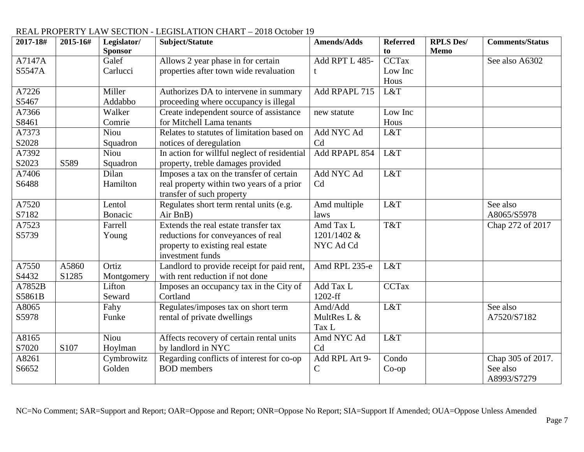| 2017-18# | 2015-16# | Legislator/    | Subject/Statute                              | <b>Amends/Adds</b> | <b>Referred</b> | <b>RPLS Des/</b> | <b>Comments/Status</b> |
|----------|----------|----------------|----------------------------------------------|--------------------|-----------------|------------------|------------------------|
|          |          | <b>Sponsor</b> |                                              |                    | to              | <b>Memo</b>      |                        |
| A7147A   |          | Galef          | Allows 2 year phase in for certain           | Add RPT L 485-     | <b>CCTax</b>    |                  | See also A6302         |
| S5547A   |          | Carlucci       | properties after town wide revaluation       | t                  | Low Inc         |                  |                        |
|          |          |                |                                              |                    | Hous            |                  |                        |
| A7226    |          | Miller         | Authorizes DA to intervene in summary        | Add RPAPL 715      | L&T             |                  |                        |
| S5467    |          | Addabbo        | proceeding where occupancy is illegal        |                    |                 |                  |                        |
| A7366    |          | Walker         | Create independent source of assistance      | new statute        | Low Inc         |                  |                        |
| S8461    |          | Comrie         | for Mitchell Lama tenants                    |                    | Hous            |                  |                        |
| A7373    |          | Niou           | Relates to statutes of limitation based on   | Add NYC Ad         | L&T             |                  |                        |
| S2028    |          | Squadron       | notices of deregulation                      | Cd                 |                 |                  |                        |
| A7392    |          | Niou           | In action for willful neglect of residential | Add RPAPL 854      | L&T             |                  |                        |
| S2023    | S589     | Squadron       | property, treble damages provided            |                    |                 |                  |                        |
| A7406    |          | Dilan          | Imposes a tax on the transfer of certain     | Add NYC Ad         | L&T             |                  |                        |
| S6488    |          | Hamilton       | real property within two years of a prior    | Cd                 |                 |                  |                        |
|          |          |                | transfer of such property                    |                    |                 |                  |                        |
| A7520    |          | Lentol         | Regulates short term rental units (e.g.      | Amd multiple       | L&T             |                  | See also               |
| S7182    |          | Bonacic        | Air BnB)                                     | laws               |                 |                  | A8065/S5978            |
| A7523    |          | Farrell        | Extends the real estate transfer tax         | Amd Tax L          | T&T             |                  | Chap 272 of 2017       |
| S5739    |          | Young          | reductions for conveyances of real           | 1201/1402 &        |                 |                  |                        |
|          |          |                | property to existing real estate             | NYC Ad Cd          |                 |                  |                        |
|          |          |                | investment funds                             |                    |                 |                  |                        |
| A7550    | A5860    | Ortiz          | Landlord to provide receipt for paid rent,   | Amd RPL 235-e      | L&T             |                  |                        |
| S4432    | S1285    | Montgomery     | with rent reduction if not done              |                    |                 |                  |                        |
| A7852B   |          | Lifton         | Imposes an occupancy tax in the City of      | Add Tax L          | <b>CCTax</b>    |                  |                        |
| S5861B   |          | Seward         | Cortland                                     | 1202-ff            |                 |                  |                        |
| A8065    |          | Fahy           | Regulates/imposes tax on short term          | Amd/Add            | L&T             |                  | See also               |
| S5978    |          | Funke          | rental of private dwellings                  | MultRes L &        |                 |                  | A7520/S7182            |
|          |          |                |                                              | Tax L              |                 |                  |                        |
| A8165    |          | <b>Niou</b>    | Affects recovery of certain rental units     | Amd NYC Ad         | L&T             |                  |                        |
| S7020    | S107     | Hoylman        | by landlord in NYC                           | Cd                 |                 |                  |                        |
| A8261    |          | Cymbrowitz     | Regarding conflicts of interest for co-op    | Add RPL Art 9-     | Condo           |                  | Chap 305 of 2017.      |
| S6652    |          | Golden         | <b>BOD</b> members                           | $\mathsf{C}$       | $Co$ -op        |                  | See also               |
|          |          |                |                                              |                    |                 |                  | A8993/S7279            |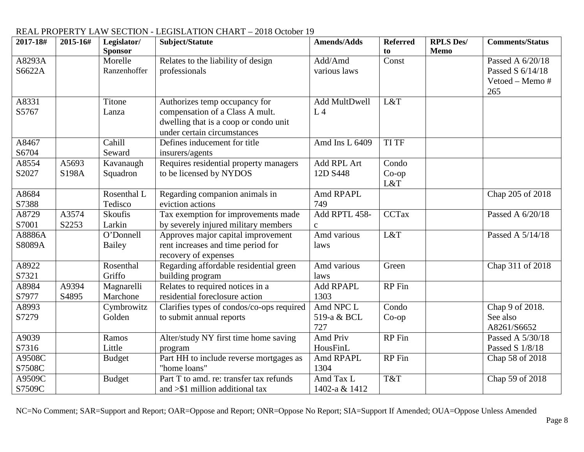| 2017-18# | 2015-16# | Legislator/<br><b>Sponsor</b> | Subject/Statute                           | <b>Amends/Adds</b> | <b>Referred</b><br>to | <b>RPLS Des/</b><br><b>Memo</b> | <b>Comments/Status</b> |
|----------|----------|-------------------------------|-------------------------------------------|--------------------|-----------------------|---------------------------------|------------------------|
| A8293A   |          | Morelle                       | Relates to the liability of design        | Add/Amd            | Const                 |                                 | Passed A 6/20/18       |
| S6622A   |          | Ranzenhoffer                  | professionals                             | various laws       |                       |                                 | Passed S 6/14/18       |
|          |          |                               |                                           |                    |                       |                                 | Vetoed - Memo #        |
|          |          |                               |                                           |                    |                       |                                 | 265                    |
| A8331    |          | Titone                        | Authorizes temp occupancy for             | Add MultDwell      | L&T                   |                                 |                        |
| S5767    |          | Lanza                         | compensation of a Class A mult.           | L <sub>4</sub>     |                       |                                 |                        |
|          |          |                               | dwelling that is a coop or condo unit     |                    |                       |                                 |                        |
|          |          |                               | under certain circumstances               |                    |                       |                                 |                        |
| A8467    |          | Cahill                        | Defines inducement for title              | Amd Ins L 6409     | <b>TI TF</b>          |                                 |                        |
| S6704    |          | Seward                        | insurers/agents                           |                    |                       |                                 |                        |
| A8554    | A5693    | Kavanaugh                     | Requires residential property managers    | Add RPL Art        | Condo                 |                                 |                        |
| S2027    | S198A    | Squadron                      | to be licensed by NYDOS                   | 12D S448           | $Co$ -op              |                                 |                        |
|          |          |                               |                                           |                    | L&T                   |                                 |                        |
| A8684    |          | Rosenthal L                   | Regarding companion animals in            | Amd RPAPL          |                       |                                 | Chap 205 of 2018       |
| S7388    |          | Tedisco                       | eviction actions                          | 749                |                       |                                 |                        |
| A8729    | A3574    | Skoufis                       | Tax exemption for improvements made       | Add RPTL 458-      | <b>CCTax</b>          |                                 | Passed A 6/20/18       |
| S7001    | S2253    | Larkin                        | by severely injured military members      | $\mathbf{C}$       |                       |                                 |                        |
| A8886A   |          | O'Donnell                     | Approves major capital improvement        | Amd various        | L&T                   |                                 | Passed A 5/14/18       |
| S8089A   |          | Bailey                        | rent increases and time period for        | laws               |                       |                                 |                        |
|          |          |                               | recovery of expenses                      |                    |                       |                                 |                        |
| A8922    |          | Rosenthal                     | Regarding affordable residential green    | Amd various        | Green                 |                                 | Chap 311 of 2018       |
| S7321    |          | Griffo                        | building program                          | laws               |                       |                                 |                        |
| A8984    | A9394    | Magnarelli                    | Relates to required notices in a          | Add RPAPL          | <b>RP</b> Fin         |                                 |                        |
| S7977    | S4895    | Marchone                      | residential foreclosure action            | 1303               |                       |                                 |                        |
| A8993    |          | Cymbrowitz                    | Clarifies types of condos/co-ops required | Amd NPC L          | Condo                 |                                 | Chap 9 of 2018.        |
| S7279    |          | Golden                        | to submit annual reports                  | 519-a & BCL        | $Co$ -op              |                                 | See also               |
|          |          |                               |                                           | 727                |                       |                                 | A8261/S6652            |
| A9039    |          | Ramos                         | Alter/study NY first time home saving     | Amd Priv           | <b>RP</b> Fin         |                                 | Passed A 5/30/18       |
| S7316    |          | Little                        | program                                   | HousFinL           |                       |                                 | Passed S 1/8/18        |
| A9508C   |          | <b>Budget</b>                 | Part HH to include reverse mortgages as   | Amd RPAPL          | <b>RP</b> Fin         |                                 | Chap 58 of 2018        |
| S7508C   |          |                               | "home loans"                              | 1304               |                       |                                 |                        |
| A9509C   |          | <b>Budget</b>                 | Part T to amd. re: transfer tax refunds   | Amd Tax L          | T&T                   |                                 | Chap 59 of 2018        |
| S7509C   |          |                               | and $>\$ 1 million additional tax         | 1402-a & 1412      |                       |                                 |                        |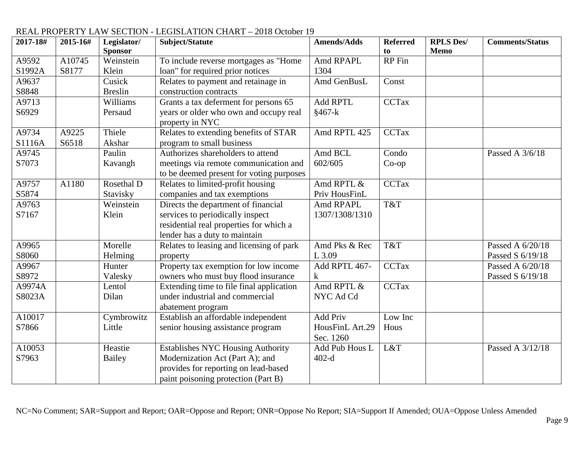| 2017-18# | 2015-16# | Legislator/    | Subject/Statute                          | <b>Amends/Adds</b> | <b>Referred</b> | <b>RPLS Des/</b> | <b>Comments/Status</b> |
|----------|----------|----------------|------------------------------------------|--------------------|-----------------|------------------|------------------------|
|          |          | <b>Sponsor</b> |                                          |                    | to              | Memo             |                        |
| A9592    | A10745   | Weinstein      | To include reverse mortgages as "Home    | Amd RPAPL          | <b>RP</b> Fin   |                  |                        |
| S1992A   | S8177    | Klein          | loan" for required prior notices         | 1304               |                 |                  |                        |
| A9637    |          | Cusick         | Relates to payment and retainage in      | Amd GenBusL        | Const           |                  |                        |
| S8848    |          | <b>Breslin</b> | construction contracts                   |                    |                 |                  |                        |
| A9713    |          | Williams       | Grants a tax deferment for persons 65    | <b>Add RPTL</b>    | <b>CCTax</b>    |                  |                        |
| S6929    |          | Persaud        | years or older who own and occupy real   | $§467-k$           |                 |                  |                        |
|          |          |                | property in NYC                          |                    |                 |                  |                        |
| A9734    | A9225    | Thiele         | Relates to extending benefits of STAR    | Amd RPTL 425       | <b>CCTax</b>    |                  |                        |
| S1116A   | S6518    | Akshar         | program to small business                |                    |                 |                  |                        |
| A9745    |          | Paulin         | Authorizes shareholders to attend        | Amd BCL            | Condo           |                  | Passed A 3/6/18        |
| S7073    |          | Kavangh        | meetings via remote communication and    | 602/605            | $Co$ -op        |                  |                        |
|          |          |                | to be deemed present for voting purposes |                    |                 |                  |                        |
| A9757    | A1180    | Rosethal D     | Relates to limited-profit housing        | Amd RPTL &         | CCTax           |                  |                        |
| S5874    |          | Stavisky       | companies and tax exemptions             | Priv HousFinL      |                 |                  |                        |
| A9763    |          | Weinstein      | Directs the department of financial      | Amd RPAPL          | T&T             |                  |                        |
| S7167    |          | Klein          | services to periodically inspect         | 1307/1308/1310     |                 |                  |                        |
|          |          |                | residential real properties for which a  |                    |                 |                  |                        |
|          |          |                | lender has a duty to maintain            |                    |                 |                  |                        |
| A9965    |          | Morelle        | Relates to leasing and licensing of park | Amd Pks & Rec      | T&T             |                  | Passed A 6/20/18       |
| S8060    |          | Helming        | property                                 | L 3.09             |                 |                  | Passed S 6/19/18       |
| A9967    |          | Hunter         | Property tax exemption for low income    | Add RPTL 467-      | <b>CCTax</b>    |                  | Passed A 6/20/18       |
| S8972    |          | Valesky        | owners who must buy flood insurance      | $\bf k$            |                 |                  | Passed S 6/19/18       |
| A9974A   |          | Lentol         | Extending time to file final application | Amd RPTL &         | <b>CCTax</b>    |                  |                        |
| S8023A   |          | Dilan          | under industrial and commercial          | NYC Ad Cd          |                 |                  |                        |
|          |          |                | abatement program                        |                    |                 |                  |                        |
| A10017   |          | Cymbrowitz     | Establish an affordable independent      | Add Priv           | Low Inc         |                  |                        |
| S7866    |          | Little         | senior housing assistance program        | HousFinL Art.29    | Hous            |                  |                        |
|          |          |                |                                          | Sec. 1260          |                 |                  |                        |
| A10053   |          | Heastie        | <b>Establishes NYC Housing Authority</b> | Add Pub Hous L     | L&T             |                  | Passed A 3/12/18       |
| S7963    |          | Bailey         | Modernization Act (Part A); and          | $402-d$            |                 |                  |                        |
|          |          |                | provides for reporting on lead-based     |                    |                 |                  |                        |
|          |          |                | paint poisoning protection (Part B)      |                    |                 |                  |                        |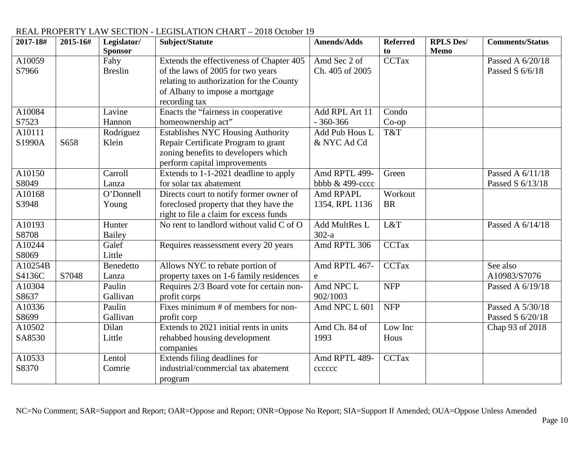#### **2017-18# 2015-16# Legislator/ Sponsor Subject/Statute Amends/Adds Referred to**<br>CCTax **RPLS Des/ Memo Comments/Status** A10059 S7966 Fahy Breslin Extends the effectiveness of Chapter 405 of the laws of 2005 for two years relating to authorization for the County of Albany to impose a mortgage recording tax Amd Sec 2 of Ch. 405 of 2005 Passed A  $6/20/18$ Passed S 6/6/18 A10084 S7523 Lavine Hannon Enacts the "fairness in cooperative homeownership act" Add RPL Art 11 - 360-366 Condo Co-op A10111  $S1990A$   $S658$ Rodriguez Klein Establishes NYC Housing Authority Repair Certificate Program to grant zoning benefits to developers which perform capital improvements Add Pub Hous L & NYC Ad Cd T&T A10150 S8049 Carroll Lanza Extends to 1-1-2021 deadline to apply for solar tax abatement Amd RPTL 499 bbbb & 499-cccc Green Passed A 6/11/18 Passed S 6/13/18 A10168 S3948 O'Donnell Young Directs court to notify former owner of foreclosed property that they have the right to file a claim for excess funds Amd RPAPL 1354, RPL 1136 **Workout** BR A10193 S8708 Hunter Bailey No rent to landlord without valid  $C$  of  $O$  Add MultRes L  $\frac{302-a}{\text{Amd RPTL}306}$  $L&T$  Passed A  $6/14/18$ A10244 S8069 Galef Little Requires reassessment every 20 years Amd RPTL 306 CCTax A10254B  $S4136C$  S7048 **Benedetto** Lanza Allows NYC to rebate portion of property taxes on 1-6 family residences Amd RPTL 467 e CCTax See also A10983/S7076 A10304 S8637 Paulin Gallivan Requires 2/3 Board vote for certain nonprofit corps Amd NPC L 902/1003  $NFP$  Passed A 6/19/18 A10336 S8699 Paulin Gallivan Fixes minimum # of members for nonprofit corp Amd NPC L  $601$  NFP Passed A 5/30/18 Passed S 6/20/18 A10502 SA8530 Dilan Little Extends to 2021 initial rents in units rehabbed housing development companies Amd Ch. 84 of 1993 Low Inc Hous Chap 93 of 2018 A10533 S8370 Lentol Comrie Extends filing deadlines for industrial/commercial tax abatement program Amd RPTL 489 **cccccc** CCTax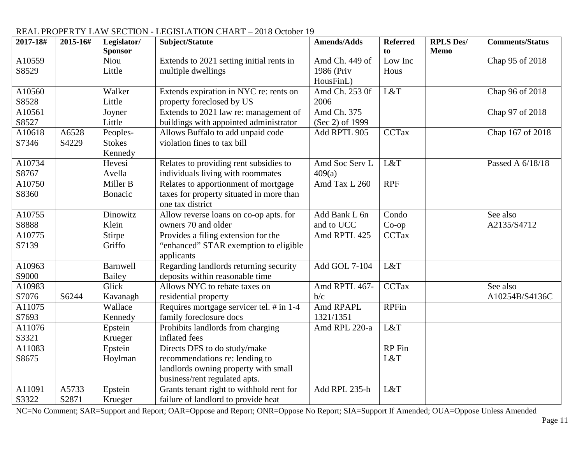| 2017-18# | 2015-16# | Legislator/<br><b>Sponsor</b> | Subject/Statute                          | <b>Amends/Adds</b> | <b>Referred</b><br>to | <b>RPLS Des/</b><br>Memo | <b>Comments/Status</b> |
|----------|----------|-------------------------------|------------------------------------------|--------------------|-----------------------|--------------------------|------------------------|
| A10559   |          | Niou                          | Extends to 2021 setting initial rents in | Amd Ch. 449 of     | Low Inc               |                          | Chap 95 of 2018        |
| S8529    |          | Little                        | multiple dwellings                       | 1986 (Priv         | Hous                  |                          |                        |
|          |          |                               |                                          | HousFinL)          |                       |                          |                        |
| A10560   |          | Walker                        | Extends expiration in NYC re: rents on   | Amd Ch. 253 0f     | L&T                   |                          | Chap 96 of 2018        |
| S8528    |          | Little                        | property foreclosed by US                | 2006               |                       |                          |                        |
| A10561   |          | Joyner                        | Extends to 2021 law re: management of    | Amd Ch. 375        |                       |                          | Chap 97 of 2018        |
| S8527    |          | Little                        | buildings with appointed administrator   | (Sec 2) of 1999    |                       |                          |                        |
| A10618   | A6528    | Peoples-                      | Allows Buffalo to add unpaid code        | Add RPTL 905       | <b>CCTax</b>          |                          | Chap 167 of 2018       |
| S7346    | S4229    | <b>Stokes</b>                 | violation fines to tax bill              |                    |                       |                          |                        |
|          |          | Kennedy                       |                                          |                    |                       |                          |                        |
| A10734   |          | Hevesi                        | Relates to providing rent subsidies to   | Amd Soc Serv L     | L&T                   |                          | Passed A 6/18/18       |
| S8767    |          | Avella                        | individuals living with roommates        | 409(a)             |                       |                          |                        |
| A10750   |          | Miller B                      | Relates to apportionment of mortgage     | Amd Tax L 260      | <b>RPF</b>            |                          |                        |
| S8360    |          | Bonacic                       | taxes for property situated in more than |                    |                       |                          |                        |
|          |          |                               | one tax district                         |                    |                       |                          |                        |
| A10755   |          | Dinowitz                      | Allow reverse loans on co-op apts. for   | Add Bank L 6n      | Condo                 |                          | See also               |
| S8888    |          | Klein                         | owners 70 and older                      | and to UCC         | $Co$ -op              |                          | A2135/S4712            |
| A10775   |          | Stirpe                        | Provides a filing extension for the      | Amd RPTL 425       | <b>CCTax</b>          |                          |                        |
| S7139    |          | Griffo                        | "enhanced" STAR exemption to eligible    |                    |                       |                          |                        |
|          |          |                               | applicants                               |                    |                       |                          |                        |
| A10963   |          | Barnwell                      | Regarding landlords returning security   | Add GOL 7-104      | L&T                   |                          |                        |
| S9000    |          | Bailey                        | deposits within reasonable time          |                    |                       |                          |                        |
| A10983   |          | Glick                         | Allows NYC to rebate taxes on            | Amd RPTL 467-      | <b>CCTax</b>          |                          | See also               |
| S7076    | S6244    | Kavanagh                      | residential property                     | b/c                |                       |                          | A10254B/S4136C         |
| A11075   |          | Wallace                       | Requires mortgage servicer tel. # in 1-4 | Amd RPAPL          | <b>RPFin</b>          |                          |                        |
| S7693    |          | Kennedy                       | family foreclosure docs                  | 1321/1351          |                       |                          |                        |
| A11076   |          | Epstein                       | Prohibits landlords from charging        | Amd RPL 220-a      | L&T                   |                          |                        |
| S3321    |          | Krueger                       | inflated fees                            |                    |                       |                          |                        |
| A11083   |          | Epstein                       | Directs DFS to do study/make             |                    | RP Fin                |                          |                        |
| S8675    |          | Hoylman                       | recommendations re: lending to           |                    | L&T                   |                          |                        |
|          |          |                               | landlords owning property with small     |                    |                       |                          |                        |
|          |          |                               | business/rent regulated apts.            |                    |                       |                          |                        |
| A11091   | A5733    | Epstein                       | Grants tenant right to withhold rent for | Add RPL 235-h      | L&T                   |                          |                        |
| S3322    | S2871    | Krueger                       | failure of landlord to provide heat      |                    |                       |                          |                        |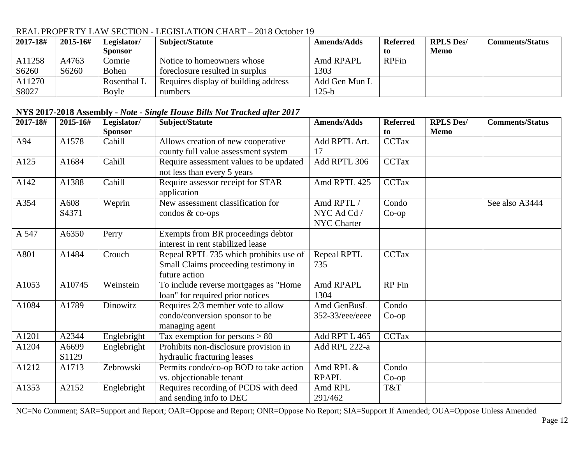| 2017-18# | 2015-16# | Legislator/  | Subject/Statute                      | <b>Amends/Adds</b> | <b>Referred</b> | <b>RPLS Des/</b> | Comments/Status |
|----------|----------|--------------|--------------------------------------|--------------------|-----------------|------------------|-----------------|
|          |          | Sponsor      |                                      |                    | t0              | Memo             |                 |
| A11258   | A4763    | Comrie       | Notice to homeowners whose           | Amd RPAPL          | <b>RPFin</b>    |                  |                 |
| S6260    | S6260    | <b>Bohen</b> | foreclosure resulted in surplus      | 1303               |                 |                  |                 |
| A11270   |          | Rosenthal L  | Requires display of building address | Add Gen Mun L      |                 |                  |                 |
| S8027    |          | Boyle        | numbers                              | $125-b$            |                 |                  |                 |

#### **NYS 2017-2018 Assembly -** *Note - Single House Bills Not Tracked after 2017*

| 2017-18# | 2015-16# | Legislator/    | Subject/Statute                         | <b>Amends/Adds</b> | <b>Referred</b> | <b>RPLS Des/</b> | <b>Comments/Status</b> |
|----------|----------|----------------|-----------------------------------------|--------------------|-----------------|------------------|------------------------|
|          |          | <b>Sponsor</b> |                                         |                    | to              | <b>Memo</b>      |                        |
| A94      | A1578    | Cahill         | Allows creation of new cooperative      | Add RPTL Art.      | <b>CCTax</b>    |                  |                        |
|          |          |                | county full value assessment system     | 17                 |                 |                  |                        |
| A125     | A1684    | Cahill         | Require assessment values to be updated | Add RPTL 306       | <b>CCTax</b>    |                  |                        |
|          |          |                | not less than every 5 years             |                    |                 |                  |                        |
| A142     | A1388    | Cahill         | Require assessor receipt for STAR       | Amd RPTL 425       | <b>CCTax</b>    |                  |                        |
|          |          |                | application                             |                    |                 |                  |                        |
| A354     | A608     | Weprin         | New assessment classification for       | Amd RPTL/          | Condo           |                  | See also A3444         |
|          | S4371    |                | condos $&$ co-ops                       | NYC Ad Cd /        | $Co$ -op        |                  |                        |
|          |          |                |                                         | NYC Charter        |                 |                  |                        |
| A 547    | A6350    | Perry          | Exempts from BR proceedings debtor      |                    |                 |                  |                        |
|          |          |                | interest in rent stabilized lease       |                    |                 |                  |                        |
| A801     | A1484    | Crouch         | Repeal RPTL 735 which prohibits use of  | Repeal RPTL        | <b>CCTax</b>    |                  |                        |
|          |          |                | Small Claims proceeding testimony in    | 735                |                 |                  |                        |
|          |          |                | future action                           |                    |                 |                  |                        |
| A1053    | A10745   | Weinstein      | To include reverse mortgages as "Home   | Amd RPAPL          | RP Fin          |                  |                        |
|          |          |                | loan" for required prior notices        | 1304               |                 |                  |                        |
| A1084    | A1789    | Dinowitz       | Requires 2/3 member vote to allow       | Amd GenBusL        | Condo           |                  |                        |
|          |          |                | condo/conversion sponsor to be          | 352-33/eee/eeee    | $Co$ -op        |                  |                        |
|          |          |                | managing agent                          |                    |                 |                  |                        |
| A1201    | A2344    | Englebright    | Tax exemption for persons $> 80$        | Add RPT L 465      | <b>CCTax</b>    |                  |                        |
| A1204    | A6699    | Englebright    | Prohibits non-disclosure provision in   | Add RPL 222-a      |                 |                  |                        |
|          | S1129    |                | hydraulic fracturing leases             |                    |                 |                  |                        |
| A1212    | A1713    | Zebrowski      | Permits condo/co-op BOD to take action  | Amd RPL &          | Condo           |                  |                        |
|          |          |                | vs. objectionable tenant                | <b>RPAPL</b>       | $Co$ -op        |                  |                        |
| A1353    | A2152    | Englebright    | Requires recording of PCDS with deed    | Amd RPL            | T&T             |                  |                        |
|          |          |                | and sending info to DEC                 | 291/462            |                 |                  |                        |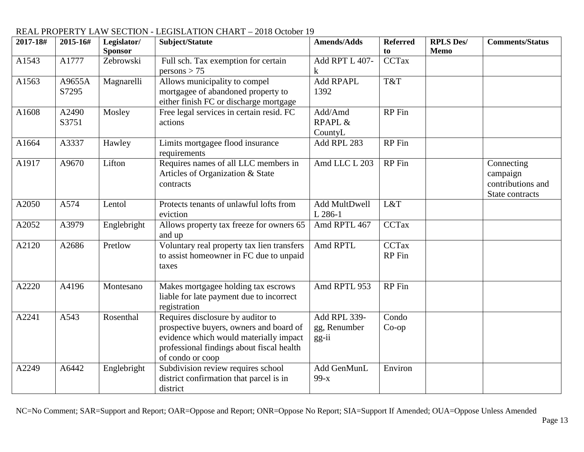| 2017-18# | 2015-16#          | Legislator/<br><b>Sponsor</b> | Subject/Statute                                                                                               | <b>Amends/Adds</b>                       | <b>Referred</b><br>to  | <b>RPLS Des/</b><br><b>Memo</b> | <b>Comments/Status</b>                                         |
|----------|-------------------|-------------------------------|---------------------------------------------------------------------------------------------------------------|------------------------------------------|------------------------|---------------------------------|----------------------------------------------------------------|
| A1543    | A1777             | Zebrowski                     | Full sch. Tax exemption for certain<br>persons > 75                                                           | Add RPT L 407-<br>k                      | <b>CCTax</b>           |                                 |                                                                |
| A1563    | A9655A<br>S7295   | Magnarelli                    | Allows municipality to compel<br>mortgagee of abandoned property to<br>either finish FC or discharge mortgage | Add RPAPL<br>1392                        | T&T                    |                                 |                                                                |
| A1608    | A2490<br>S3751    | Mosley                        | Free legal services in certain resid. FC<br>actions                                                           | Add/Amd<br><b>RPAPL &amp;</b><br>CountyL | RP Fin                 |                                 |                                                                |
| A1664    | A3337             | Hawley                        | Limits mortgagee flood insurance<br>requirements                                                              | Add RPL 283                              | RP Fin                 |                                 |                                                                |
| A1917    | A9670             | Lifton                        | Requires names of all LLC members in<br>Articles of Organization & State<br>contracts                         | Amd LLC L 203                            | <b>RP</b> Fin          |                                 | Connecting<br>campaign<br>contributions and<br>State contracts |
| A2050    | A574              | Lentol                        | Protects tenants of unlawful lofts from<br>eviction                                                           | Add MultDwell<br>L 286-1                 | L&T                    |                                 |                                                                |
| A2052    | A3979             | Englebright                   | Allows property tax freeze for owners 65<br>and up                                                            | Amd RPTL 467                             | <b>CCTax</b>           |                                 |                                                                |
| A2120    | A2686             | Pretlow                       | Voluntary real property tax lien transfers<br>to assist homeowner in FC due to unpaid<br>taxes                | Amd RPTL                                 | <b>CCTax</b><br>RP Fin |                                 |                                                                |
| A2220    | A4196             | Montesano                     | Makes mortgagee holding tax escrows<br>liable for late payment due to incorrect<br>registration               | Amd RPTL 953                             | <b>RP</b> Fin          |                                 |                                                                |
| A2241    | $A54\overline{3}$ | Rosenthal                     | Requires disclosure by auditor to<br>prospective buyers, owners and board of                                  | Add RPL 339-<br>gg, Renumber             | Condo<br>$Co$ -op      |                                 |                                                                |
|          |                   |                               | evidence which would materially impact<br>professional findings about fiscal health<br>of condo or coop       | gg-ii                                    |                        |                                 |                                                                |
| A2249    | A6442             | Englebright                   | Subdivision review requires school<br>district confirmation that parcel is in<br>district                     | Add GenMunL<br>$99-x$                    | Environ                |                                 |                                                                |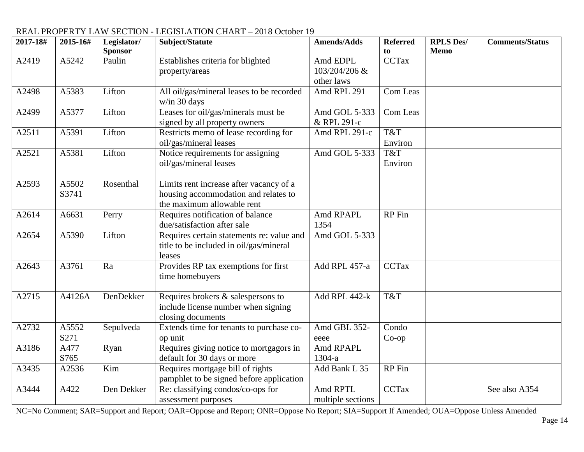| 2017-18# | 2015-16#       | Legislator/    | Subject/Statute                                                                                               | <b>Amends/Adds</b>            | <b>Referred</b> | <b>RPLS Des/</b> | <b>Comments/Status</b> |
|----------|----------------|----------------|---------------------------------------------------------------------------------------------------------------|-------------------------------|-----------------|------------------|------------------------|
|          |                | <b>Sponsor</b> |                                                                                                               |                               | to              | <b>Memo</b>      |                        |
| A2419    | A5242          | Paulin         | Establishes criteria for blighted<br>property/areas                                                           | Amd EDPL<br>103/204/206 &     | <b>CCTax</b>    |                  |                        |
|          |                |                |                                                                                                               | other laws                    |                 |                  |                        |
| A2498    | A5383          | Lifton         | All oil/gas/mineral leases to be recorded<br>w/in 30 days                                                     | Amd RPL 291                   | Com Leas        |                  |                        |
| A2499    | A5377          | Lifton         | Leases for oil/gas/minerals must be<br>signed by all property owners                                          | Amd GOL 5-333<br>& RPL 291-c  | Com Leas        |                  |                        |
| A2511    | A5391          | Lifton         | Restricts memo of lease recording for                                                                         | Amd RPL 291-c                 | T&T             |                  |                        |
|          |                |                | oil/gas/mineral leases                                                                                        |                               | Environ         |                  |                        |
| A2521    | A5381          | Lifton         | Notice requirements for assigning                                                                             | Amd GOL 5-333                 | T&T             |                  |                        |
|          |                |                | oil/gas/mineral leases                                                                                        |                               | Environ         |                  |                        |
| A2593    | A5502<br>S3741 | Rosenthal      | Limits rent increase after vacancy of a<br>housing accommodation and relates to<br>the maximum allowable rent |                               |                 |                  |                        |
| A2614    | A6631          | Perry          | Requires notification of balance<br>due/satisfaction after sale                                               | Amd RPAPL<br>1354             | <b>RP</b> Fin   |                  |                        |
| A2654    | A5390          | Lifton         | Requires certain statements re: value and<br>title to be included in oil/gas/mineral<br>leases                | Amd GOL 5-333                 |                 |                  |                        |
| A2643    | A3761          | Ra             | Provides RP tax exemptions for first<br>time homebuyers                                                       | Add RPL 457-a                 | <b>CCTax</b>    |                  |                        |
| A2715    | A4126A         | DenDekker      | Requires brokers & salespersons to<br>include license number when signing<br>closing documents                | Add RPL 442-k                 | T&T             |                  |                        |
| A2732    | A5552          | Sepulveda      | Extends time for tenants to purchase co-                                                                      | Amd GBL 352-                  | Condo           |                  |                        |
|          | S271           |                | op unit                                                                                                       | eeee                          | $Co$ -op        |                  |                        |
| A3186    | A477           | Ryan           | Requires giving notice to mortgagors in                                                                       | Amd RPAPL                     |                 |                  |                        |
|          | S765           |                | default for 30 days or more                                                                                   | 1304-a                        |                 |                  |                        |
| A3435    | A2536          | Kim            | Requires mortgage bill of rights<br>pamphlet to be signed before application                                  | Add Bank L 35                 | <b>RP</b> Fin   |                  |                        |
| A3444    | A422           | Den Dekker     | Re: classifying condos/co-ops for<br>assessment purposes                                                      | Amd RPTL<br>multiple sections | <b>CCTax</b>    |                  | See also A354          |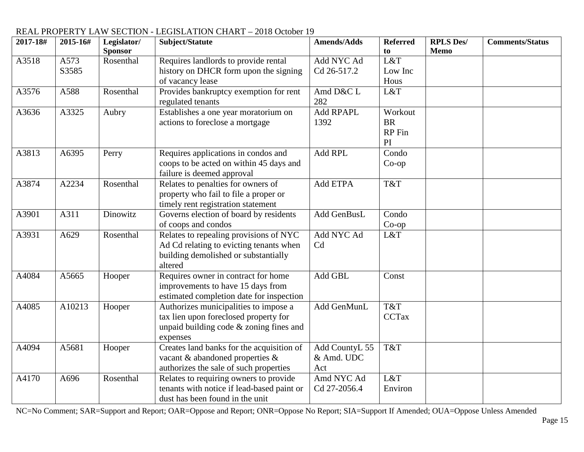| 2017-18# | 2015-16#      | Legislator/<br><b>Sponsor</b> | Subject/Statute                                                                                                                       | <b>Amends/Adds</b>                  | <b>Referred</b><br>to                       | <b>RPLS Des/</b><br><b>Memo</b> | <b>Comments/Status</b> |
|----------|---------------|-------------------------------|---------------------------------------------------------------------------------------------------------------------------------------|-------------------------------------|---------------------------------------------|---------------------------------|------------------------|
| A3518    | A573<br>S3585 | Rosenthal                     | Requires landlords to provide rental<br>history on DHCR form upon the signing<br>of vacancy lease                                     | Add NYC Ad<br>Cd 26-517.2           | L&T<br>Low Inc<br>Hous                      |                                 |                        |
| A3576    | A588          | Rosenthal                     | Provides bankruptcy exemption for rent<br>regulated tenants                                                                           | Amd D&C L<br>282                    | L&T                                         |                                 |                        |
| A3636    | A3325         | Aubry                         | Establishes a one year moratorium on<br>actions to foreclose a mortgage                                                               | Add RPAPL<br>1392                   | Workout<br><b>BR</b><br><b>RP</b> Fin<br>PI |                                 |                        |
| A3813    | A6395         | Perry                         | Requires applications in condos and<br>coops to be acted on within 45 days and<br>failure is deemed approval                          | Add RPL                             | Condo<br>$Co$ -op                           |                                 |                        |
| A3874    | A2234         | Rosenthal                     | Relates to penalties for owners of<br>property who fail to file a proper or<br>timely rent registration statement                     | Add ETPA                            | T&T                                         |                                 |                        |
| A3901    | A311          | Dinowitz                      | Governs election of board by residents<br>of coops and condos                                                                         | Add GenBusL                         | Condo<br>$Co$ -op                           |                                 |                        |
| A3931    | A629          | Rosenthal                     | Relates to repealing provisions of NYC<br>Ad Cd relating to evicting tenants when<br>building demolished or substantially<br>altered  | Add NYC Ad<br>C <sub>d</sub>        | L&T                                         |                                 |                        |
| A4084    | A5665         | Hooper                        | Requires owner in contract for home<br>improvements to have 15 days from<br>estimated completion date for inspection                  | Add GBL                             | Const                                       |                                 |                        |
| A4085    | A10213        | Hooper                        | Authorizes municipalities to impose a<br>tax lien upon foreclosed property for<br>unpaid building code & zoning fines and<br>expenses | Add GenMunL                         | T&T<br><b>CCTax</b>                         |                                 |                        |
| A4094    | A5681         | Hooper                        | Creates land banks for the acquisition of<br>vacant & abandoned properties &<br>authorizes the sale of such properties                | Add CountyL 55<br>& Amd. UDC<br>Act | T&T                                         |                                 |                        |
| A4170    | A696          | Rosenthal                     | Relates to requiring owners to provide<br>tenants with notice if lead-based paint or<br>dust has been found in the unit               | Amd NYC Ad<br>Cd 27-2056.4          | L&T<br>Environ                              |                                 |                        |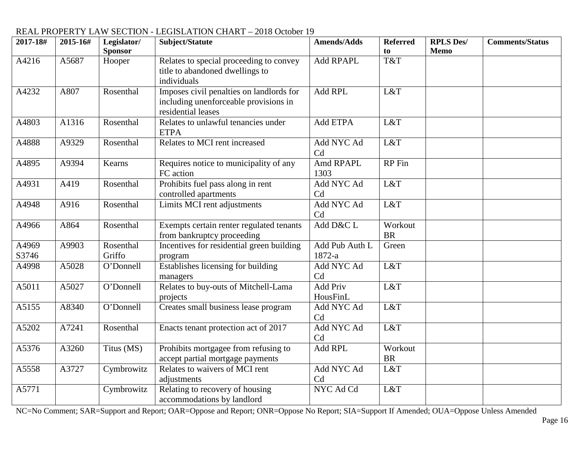| 2017-18#       | 2015-16# | Legislator/<br><b>Sponsor</b> | Subject/Statute                                                                                         | <b>Amends/Adds</b>           | <b>Referred</b><br>to | <b>RPLS Des/</b><br><b>Memo</b> | <b>Comments/Status</b> |
|----------------|----------|-------------------------------|---------------------------------------------------------------------------------------------------------|------------------------------|-----------------------|---------------------------------|------------------------|
| A4216          | A5687    | Hooper                        | Relates to special proceeding to convey<br>title to abandoned dwellings to<br>individuals               | Add RPAPL                    | T&T                   |                                 |                        |
| A4232          | A807     | Rosenthal                     | Imposes civil penalties on landlords for<br>including unenforceable provisions in<br>residential leases | Add RPL                      | L&T                   |                                 |                        |
| A4803          | A1316    | Rosenthal                     | Relates to unlawful tenancies under<br><b>ETPA</b>                                                      | Add ETPA                     | L&T                   |                                 |                        |
| A4888          | A9329    | Rosenthal                     | Relates to MCI rent increased                                                                           | Add NYC Ad<br>C <sub>d</sub> | L&T                   |                                 |                        |
| A4895          | A9394    | Kearns                        | Requires notice to municipality of any<br>FC action                                                     | Amd RPAPL<br>1303            | <b>RP</b> Fin         |                                 |                        |
| A4931          | A419     | Rosenthal                     | Prohibits fuel pass along in rent<br>controlled apartments                                              | Add NYC Ad<br>Cd             | L&T                   |                                 |                        |
| A4948          | A916     | Rosenthal                     | Limits MCI rent adjustments                                                                             | Add NYC Ad<br>Cd             | L&T                   |                                 |                        |
| A4966          | A864     | Rosenthal                     | Exempts certain renter regulated tenants<br>from bankruptcy proceeding                                  | Add D&C L                    | Workout<br><b>BR</b>  |                                 |                        |
| A4969<br>S3746 | A9903    | Rosenthal<br>Griffo           | Incentives for residential green building<br>program                                                    | Add Pub Auth L<br>1872-a     | Green                 |                                 |                        |
| A4998          | A5028    | O'Donnell                     | Establishes licensing for building<br>managers                                                          | Add NYC Ad<br>Cd             | L&T                   |                                 |                        |
| A5011          | A5027    | O'Donnell                     | Relates to buy-outs of Mitchell-Lama<br>projects                                                        | <b>Add Priv</b><br>HousFinL  | L&T                   |                                 |                        |
| A5155          | A8340    | O'Donnell                     | Creates small business lease program                                                                    | Add NYC Ad<br>Cd             | L&T                   |                                 |                        |
| A5202          | A7241    | Rosenthal                     | Enacts tenant protection act of 2017                                                                    | Add NYC Ad<br>Cd             | L&T                   |                                 |                        |
| A5376          | A3260    | Titus (MS)                    | Prohibits mortgagee from refusing to<br>accept partial mortgage payments                                | Add RPL                      | Workout<br><b>BR</b>  |                                 |                        |
| A5558          | A3727    | Cymbrowitz                    | Relates to waivers of MCI rent<br>adjustments                                                           | Add NYC Ad<br>Cd             | L&T                   |                                 |                        |
| A5771          |          | Cymbrowitz                    | Relating to recovery of housing<br>accommodations by landlord                                           | NYC Ad Cd                    | L&T                   |                                 |                        |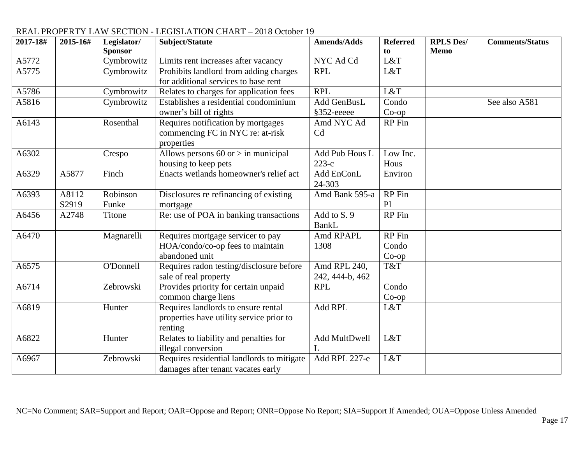| 2017-18# | 2015-16# | Legislator/      | Subject/Statute                            | <b>Amends/Adds</b> | <b>Referred</b> | <b>RPLS Des/</b> | <b>Comments/Status</b> |
|----------|----------|------------------|--------------------------------------------|--------------------|-----------------|------------------|------------------------|
|          |          | <b>Sponsor</b>   |                                            |                    | to              | <b>Memo</b>      |                        |
| A5772    |          | Cymbrowitz       | Limits rent increases after vacancy        | NYC Ad Cd          | L&T             |                  |                        |
| A5775    |          | Cymbrowitz       | Prohibits landlord from adding charges     | <b>RPL</b>         | L&T             |                  |                        |
|          |          |                  | for additional services to base rent       |                    |                 |                  |                        |
| A5786    |          | Cymbrowitz       | Relates to charges for application fees    | <b>RPL</b>         | L&T             |                  |                        |
| A5816    |          | Cymbrowitz       | Establishes a residential condominium      | Add GenBusL        | Condo           |                  | See also A581          |
|          |          |                  | owner's bill of rights                     | §352-eeeee         | $Co$ -op        |                  |                        |
| A6143    |          | Rosenthal        | Requires notification by mortgages         | Amd NYC Ad         | RP Fin          |                  |                        |
|          |          |                  | commencing FC in NYC re: at-risk           | C <sub>d</sub>     |                 |                  |                        |
|          |          |                  | properties                                 |                    |                 |                  |                        |
| A6302    |          | Crespo           | Allows persons $60$ or $>$ in municipal    | Add Pub Hous L     | Low Inc.        |                  |                        |
|          |          |                  | housing to keep pets                       | $223-c$            | Hous            |                  |                        |
| A6329    | A5877    | Finch            | Enacts wetlands homeowner's relief act     | Add EnConL         | Environ         |                  |                        |
|          |          |                  |                                            | 24-303             |                 |                  |                        |
| A6393    | A8112    | Robinson         | Disclosures re refinancing of existing     | Amd Bank 595-a     | RP Fin          |                  |                        |
|          | S2919    | Funke            | mortgage                                   |                    | PI              |                  |                        |
| A6456    | A2748    | Titone           | Re: use of POA in banking transactions     | Add to S. 9        | <b>RP</b> Fin   |                  |                        |
|          |          |                  |                                            | BankL              |                 |                  |                        |
| A6470    |          | Magnarelli       | Requires mortgage servicer to pay          | Amd RPAPL          | <b>RP</b> Fin   |                  |                        |
|          |          |                  | HOA/condo/co-op fees to maintain           | 1308               | Condo           |                  |                        |
|          |          |                  | abandoned unit                             |                    | $Co$ -op        |                  |                        |
| A6575    |          | <b>O'Donnell</b> | Requires radon testing/disclosure before   | Amd RPL 240,       | T&T             |                  |                        |
|          |          |                  | sale of real property                      | 242, 444-b, 462    |                 |                  |                        |
| A6714    |          | Zebrowski        | Provides priority for certain unpaid       | <b>RPL</b>         | Condo           |                  |                        |
|          |          |                  | common charge liens                        |                    | $Co$ -op        |                  |                        |
| A6819    |          | Hunter           | Requires landlords to ensure rental        | Add RPL            | L&T             |                  |                        |
|          |          |                  | properties have utility service prior to   |                    |                 |                  |                        |
|          |          |                  | renting                                    |                    |                 |                  |                        |
| A6822    |          | Hunter           | Relates to liability and penalties for     | Add MultDwell      | L&T             |                  |                        |
|          |          |                  | illegal conversion                         | L                  |                 |                  |                        |
| A6967    |          | Zebrowski        | Requires residential landlords to mitigate | Add RPL 227-e      | L&T             |                  |                        |
|          |          |                  | damages after tenant vacates early         |                    |                 |                  |                        |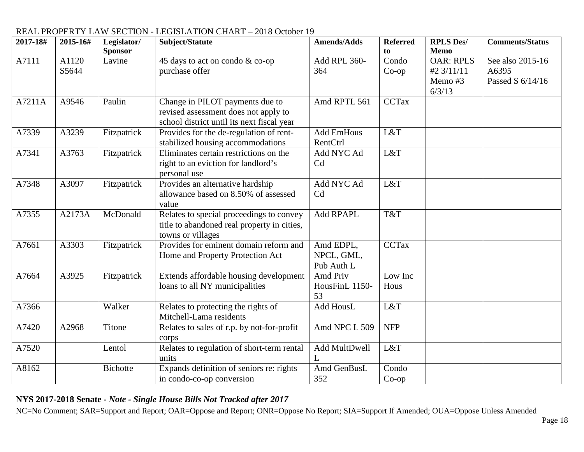#### **2017-18# 2015-16# Legislator/ Sponsor Subject/Statute Amends/Adds Referred to RPLS Des/ Memo Comments/Status** A7111 A1120 S5644 Lavine  $\frac{45 \text{ days to act on } }{45 \text{ days to act on } }$ purchase offer Add RPL 360- 364 Condo Co-op OAR: RPLS #2 3/11/11 Memo #3 6/3/13 See also 2015-16 A6395 Passed S 6/14/16 A7211A | A9546 | Paulin | Change in PILOT payments due to revised assessment does not apply to school district until its next fiscal year Amd RPTL 561 CCTax A7339 A3239 Fitzpatrick Provides for the de-regulation of rentstabilized housing accommodations Add EmHous RentCtrl L&T A7341 A3763 Fitzpatrick Eliminates certain restrictions on the right to an eviction for landlord's personal use Add NYC Ad Cd L&T A7348 A3097 Fitzpatrick Provides an alternative hardship allowance based on 8.50% of assessed value Add NYC Ad Cd L&T A7355 A2173A McDonald Relates to special proceedings to convey title to abandoned real property in cities, towns or villages Add RPAPL T&T A7661 A3303 Fitzpatrick Provides for eminent domain reform and Home and Property Protection Act Amd EDPL, NPCL, GML, Pub Auth L CCTax A7664 A3925 Fitzpatrick Extends affordable housing development loans to all NY municipalities Amd Priv HousFinL 1150- 53 Low Inc Hous A7366 Walker Relates to protecting the rights of Mitchell-Lama residents Add HousL L&T A7420 A2968 Titone Relates to sales of r.p. by not-for-profit corps Amd NPC L 509 NFP A7520 Lentol Relates to regulation of short-term rental units Add MultDwell  $\mathbf{L}$ L&T A8162 Bichotte Expands definition of seniors re: rights in condo-co-op conversion Amd GenBusL 352 Condo Co-op

# REAL PROPERTY LAW SECTION - LEGISLATION CHART – 2018 October 19

# **NYS 2017-2018 Senate -** *Note - Single House Bills Not Tracked after 2017*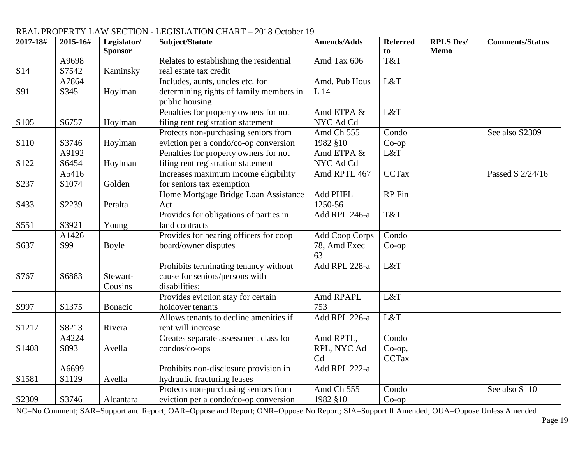#### **2017-18# 2015-16# Legislator/ Sponsor Subject/Statute Amends/Adds Referred to RPLS Des/ Memo Comments/Status** S14 A9698 S7542 Kaminsky Relates to establishing the residential real estate tax credit Amd Tax  $606$  T&T S91 A7864 S345 Hoylman Includes, aunts, uncles etc. for determining rights of family members in public housing Amd. Pub Hous L 14  $\overline{LRT}$ S<sub>105</sub> S<sub>6757</sub> Hoylman Penalties for property owners for not filing rent registration statement Amd ETPA & NYC Ad Cd L&T S110 S3746 Hoylman Protects non-purchasing seniors from eviction per a condo/co-op conversion Amd  $\overline{\text{Ch } 555}$ 1982 §10 Condo Co-op See also S2309 S122 A9192<br>S6454 Hoylman Penalties for property owners for not filing rent registration statement Amd ETPA & NYC Ad Cd<br>Amd RPTL 467 L&T S237 A5416 S<sub>1074</sub> Golden Increases maximum income eligibility for seniors tax exemption  $\overline{CCTax}$  Passed S  $\frac{2}{24/16}$ S433 | S2239 | Peralta Home Mortgage Bridge Loan Assistance Act Add PHFL 1250-56 RP Fin S551 S3921 Young Provides for obligations of parties in land contracts Add RPL 246-a T&T S637 A1426 S99 Boyle Provides for hearing officers for coop board/owner disputes Add Coop Corps 78, Amd Exec 63 Condo Co-op S767 | S6883 | Stewart-Cousins Prohibits terminating tenancy without cause for seniors/persons with disabilities; Add RPL  $228-a$  L&T  $S997$  S1375 Bonacic Provides eviction stay for certain holdover tenants Amd RPAPL 753 L&T

Allows tenants to decline amenities if

Creates separate assessment class for

Prohibits non-disclosure provision in

Protects non-purchasing seniors from eviction per a condo/co-op conversion

hydraulic fracturing leases

rent will increase

condos/co-ops

# REAL PROPERTY LAW SECTION - LEGISLATION CHART – 2018 October 19<br>2017-18# 2015-16# Legislator/ Subject/Statute Amends/Adds

S1217 S8213 Rivera

A4224

A6699

S2309 S3746 Alcantara

S893 Avella

S1129 Avella

S1408

S1581

NC=No Comment; SAR=Support and Report; OAR=Oppose and Report; ONR=Oppose No Report; SIA=Support If Amended; OUA=Oppose Unless Amended

Add RPL 226-a  $L&T$ 

Condo Co-op, **CCTax** 

Condo Co-op

Amd RPTL, RPL, NYC Ad

Add RPL 222-a

Amd Ch 555 1982 §10

Cd

See also S110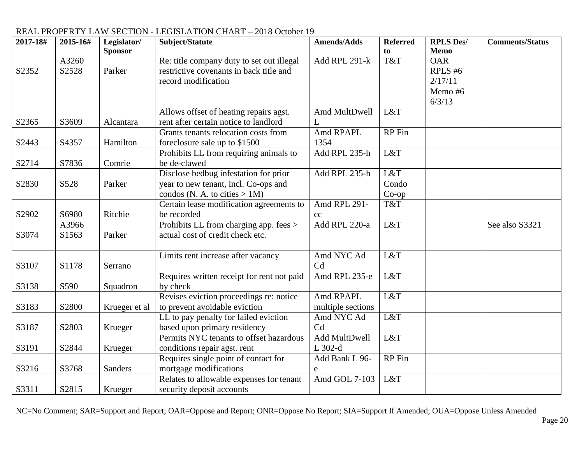| 2017-18# | 2015-16# | Legislator/    | Subject/Statute                            | <b>Amends/Adds</b> | <b>Referred</b> | <b>RPLS Des/</b> | <b>Comments/Status</b> |
|----------|----------|----------------|--------------------------------------------|--------------------|-----------------|------------------|------------------------|
|          |          | <b>Sponsor</b> |                                            |                    | to              | <b>Memo</b>      |                        |
|          | A3260    |                | Re: title company duty to set out illegal  | Add RPL 291-k      | T&T             | <b>OAR</b>       |                        |
| S2352    | S2528    | Parker         | restrictive covenants in back title and    |                    |                 | RPLS #6          |                        |
|          |          |                | record modification                        |                    |                 | 2/17/11          |                        |
|          |          |                |                                            |                    |                 | Memo #6          |                        |
|          |          |                |                                            |                    |                 | 6/3/13           |                        |
|          |          |                | Allows offset of heating repairs agst.     | Amd MultDwell      | L&T             |                  |                        |
| S2365    | S3609    | Alcantara      | rent after certain notice to landlord      | L                  |                 |                  |                        |
|          |          |                | Grants tenants relocation costs from       | Amd RPAPL          | RP Fin          |                  |                        |
| S2443    | S4357    | Hamilton       | foreclosure sale up to \$1500              | 1354               |                 |                  |                        |
|          |          |                | Prohibits LL from requiring animals to     | Add RPL 235-h      | L&T             |                  |                        |
| S2714    | S7836    | Comrie         | be de-clawed                               |                    |                 |                  |                        |
|          |          |                | Disclose bedbug infestation for prior      | Add RPL 235-h      | L&T             |                  |                        |
| S2830    | S528     | Parker         | year to new tenant, incl. Co-ops and       |                    | Condo           |                  |                        |
|          |          |                | condos (N. A. to cities $> 1M$ )           |                    | $Co$ -op        |                  |                        |
|          |          |                | Certain lease modification agreements to   | Amd RPL 291-       | T&T             |                  |                        |
| S2902    | S6980    | Ritchie        | be recorded                                | cc                 |                 |                  |                        |
|          | A3966    |                | Prohibits LL from charging app. fees >     | Add RPL 220-a      | L&T             |                  | See also S3321         |
| S3074    | S1563    | Parker         | actual cost of credit check etc.           |                    |                 |                  |                        |
|          |          |                |                                            |                    |                 |                  |                        |
|          |          |                | Limits rent increase after vacancy         | Amd NYC Ad         | L&T             |                  |                        |
| S3107    | S1178    | Serrano        |                                            | Cd                 |                 |                  |                        |
|          |          |                | Requires written receipt for rent not paid | Amd RPL 235-e      | L&T             |                  |                        |
| S3138    | S590     | Squadron       | by check                                   |                    |                 |                  |                        |
|          |          |                | Revises eviction proceedings re: notice    | Amd RPAPL          | L&T             |                  |                        |
| S3183    | S2800    | Krueger et al  | to prevent avoidable eviction              | multiple sections  |                 |                  |                        |
|          |          |                | LL to pay penalty for failed eviction      | Amd NYC Ad         | L&T             |                  |                        |
| S3187    | S2803    | Krueger        | based upon primary residency               | Cd                 |                 |                  |                        |
|          |          |                | Permits NYC tenants to offset hazardous    | Add MultDwell      | L&T             |                  |                        |
| S3191    | S2844    | Krueger        | conditions repair agst. rent               | L 302-d            |                 |                  |                        |
|          |          |                | Requires single point of contact for       | Add Bank L 96-     | RP Fin          |                  |                        |
| S3216    | S3768    | <b>Sanders</b> | mortgage modifications                     | e                  |                 |                  |                        |
|          |          |                | Relates to allowable expenses for tenant   | Amd GOL 7-103      | L&T             |                  |                        |
| S3311    | S2815    | Krueger        | security deposit accounts                  |                    |                 |                  |                        |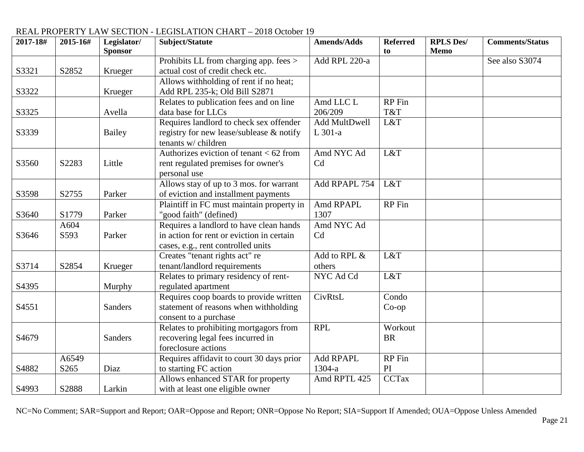| 2017-18# | 2015-16# | Legislator/<br><b>Sponsor</b> | Subject/Statute                           | <b>Amends/Adds</b> | <b>Referred</b><br>to | <b>RPLS Des/</b><br><b>Memo</b> | <b>Comments/Status</b> |
|----------|----------|-------------------------------|-------------------------------------------|--------------------|-----------------------|---------------------------------|------------------------|
|          |          |                               | Prohibits LL from charging app. fees >    | Add RPL 220-a      |                       |                                 | See also S3074         |
| S3321    | S2852    | Krueger                       | actual cost of credit check etc.          |                    |                       |                                 |                        |
|          |          |                               | Allows withholding of rent if no heat;    |                    |                       |                                 |                        |
|          |          |                               |                                           |                    |                       |                                 |                        |
| S3322    |          | Krueger                       | Add RPL 235-k; Old Bill S2871             |                    |                       |                                 |                        |
|          |          |                               | Relates to publication fees and on line   | Amd LLC L          | <b>RP</b> Fin         |                                 |                        |
| S3325    |          | Avella                        | data base for LLCs                        | 206/209            | T&T                   |                                 |                        |
|          |          |                               | Requires landlord to check sex offender   | Add MultDwell      | L&T                   |                                 |                        |
| S3339    |          | <b>Bailey</b>                 | registry for new lease/sublease & notify  | L 301-a            |                       |                                 |                        |
|          |          |                               | tenants w/ children                       |                    |                       |                                 |                        |
|          |          |                               | Authorizes eviction of tenant $< 62$ from | Amd NYC Ad         | L&T                   |                                 |                        |
| S3560    | S2283    | Little                        | rent regulated premises for owner's       | Cd                 |                       |                                 |                        |
|          |          |                               | personal use                              |                    |                       |                                 |                        |
|          |          |                               | Allows stay of up to 3 mos. for warrant   | Add RPAPL 754      | L&T                   |                                 |                        |
| S3598    | S2755    | Parker                        | of eviction and installment payments      |                    |                       |                                 |                        |
|          |          |                               | Plaintiff in FC must maintain property in | Amd RPAPL          | RP Fin                |                                 |                        |
| S3640    | S1779    | Parker                        | "good faith" (defined)                    | 1307               |                       |                                 |                        |
|          | A604     |                               | Requires a landlord to have clean hands   | Amd NYC Ad         |                       |                                 |                        |
| S3646    | S593     | Parker                        | in action for rent or eviction in certain | Cd                 |                       |                                 |                        |
|          |          |                               | cases, e.g., rent controlled units        |                    |                       |                                 |                        |
|          |          |                               | Creates "tenant rights act" re            | Add to RPL &       | L&T                   |                                 |                        |
| S3714    | S2854    | Krueger                       | tenant/landlord requirements              | others             |                       |                                 |                        |
|          |          |                               | Relates to primary residency of rent-     | NYC Ad Cd          | L&T                   |                                 |                        |
| S4395    |          | Murphy                        | regulated apartment                       |                    |                       |                                 |                        |
|          |          |                               | Requires coop boards to provide written   | CivRtsL            | Condo                 |                                 |                        |
| S4551    |          | <b>Sanders</b>                | statement of reasons when withholding     |                    | $Co$ -op              |                                 |                        |
|          |          |                               | consent to a purchase                     |                    |                       |                                 |                        |
|          |          |                               | Relates to prohibiting mortgagors from    | <b>RPL</b>         | Workout               |                                 |                        |
| S4679    |          | <b>Sanders</b>                | recovering legal fees incurred in         |                    | <b>BR</b>             |                                 |                        |
|          |          |                               | foreclosure actions                       |                    |                       |                                 |                        |
|          | A6549    |                               | Requires affidavit to court 30 days prior | <b>Add RPAPL</b>   | RP Fin                |                                 |                        |
| S4882    | S265     | Diaz                          | to starting FC action                     | 1304-a             | PI                    |                                 |                        |
|          |          |                               | Allows enhanced STAR for property         | Amd RPTL 425       | <b>CCTax</b>          |                                 |                        |
| S4993    | S2888    | Larkin                        | with at least one eligible owner          |                    |                       |                                 |                        |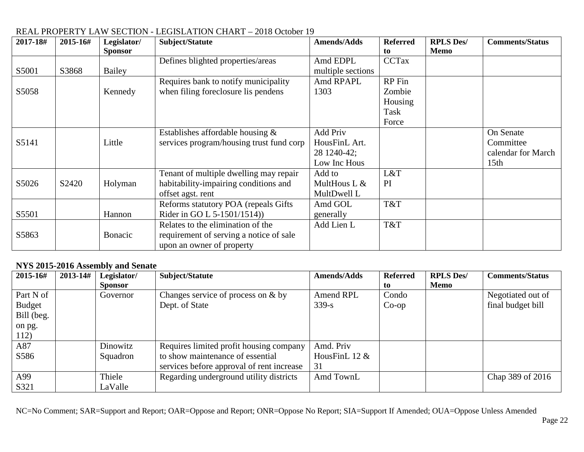| 2017-18# | 2015-16#          | Legislator/    | Subject/Statute                          | <b>Amends/Adds</b> | <b>Referred</b> | <b>RPLS Des/</b> | <b>Comments/Status</b> |
|----------|-------------------|----------------|------------------------------------------|--------------------|-----------------|------------------|------------------------|
|          |                   | <b>Sponsor</b> |                                          |                    | to              | <b>Memo</b>      |                        |
|          |                   |                | Defines blighted properties/areas        | Amd EDPL           | <b>CCTax</b>    |                  |                        |
| S5001    | S3868             | Bailey         |                                          | multiple sections  |                 |                  |                        |
|          |                   |                | Requires bank to notify municipality     | Amd RPAPL          | RP Fin          |                  |                        |
| S5058    |                   | Kennedy        | when filing foreclosure lis pendens      | 1303               | Zombie          |                  |                        |
|          |                   |                |                                          |                    | Housing         |                  |                        |
|          |                   |                |                                          |                    | Task            |                  |                        |
|          |                   |                |                                          |                    | Force           |                  |                        |
|          |                   |                | Establishes affordable housing $\&$      | <b>Add Priv</b>    |                 |                  | On Senate              |
| S5141    |                   | Little         | services program/housing trust fund corp | HousFinL Art.      |                 |                  | Committee              |
|          |                   |                |                                          | 28 1240-42;        |                 |                  | calendar for March     |
|          |                   |                |                                          | Low Inc Hous       |                 |                  | 15 <sub>th</sub>       |
|          |                   |                | Tenant of multiple dwelling may repair   | Add to             | L&T             |                  |                        |
| S5026    | S <sub>2420</sub> | Holyman        | habitability-impairing conditions and    | MultHous L $&$     | PI              |                  |                        |
|          |                   |                | offset agst. rent                        | MultDwell L        |                 |                  |                        |
|          |                   |                | Reforms statutory POA (repeals Gifts)    | Amd GOL            | T&T             |                  |                        |
| S5501    |                   | Hannon         | Rider in GO L $5-1501/1514$ )            | generally          |                 |                  |                        |
|          |                   |                | Relates to the elimination of the        | Add Lien L         | T&T             |                  |                        |
| S5863    |                   | Bonacic        | requirement of serving a notice of sale  |                    |                 |                  |                        |
|          |                   |                | upon an owner of property                |                    |                 |                  |                        |

### **NYS 2015-2016 Assembly and Senate**

| 2015-16#      | $2013 - 14#$ | Legislator/<br><b>Sponsor</b> | Subject/Statute                           | <b>Amends/Adds</b> | <b>Referred</b><br>to | <b>RPLS Des/</b><br>Memo | <b>Comments/Status</b> |
|---------------|--------------|-------------------------------|-------------------------------------------|--------------------|-----------------------|--------------------------|------------------------|
| Part N of     |              | Governor                      | Changes service of process on $&$ by      | Amend RPL          | Condo                 |                          | Negotiated out of      |
| <b>Budget</b> |              |                               | Dept. of State                            | $339 - s$          | $Co$ -op              |                          | final budget bill      |
| Bill (beg.    |              |                               |                                           |                    |                       |                          |                        |
| on pg.        |              |                               |                                           |                    |                       |                          |                        |
| 112)          |              |                               |                                           |                    |                       |                          |                        |
| A87           |              | Dinowitz                      | Requires limited profit housing company   | Amd. Priv          |                       |                          |                        |
| S586          |              | Squadron                      | to show maintenance of essential          | HousFinL $12 \&$   |                       |                          |                        |
|               |              |                               | services before approval of rent increase | 31                 |                       |                          |                        |
| A99           |              | Thiele                        | Regarding underground utility districts   | Amd TownL          |                       |                          | Chap 389 of 2016       |
| S321          |              | LaValle                       |                                           |                    |                       |                          |                        |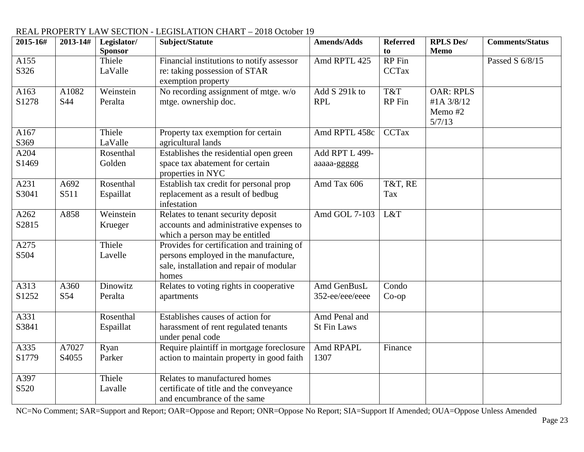| 2015-16# | 2013-14# | Legislator/    | Subject/Statute                            | <b>Amends/Adds</b> | <b>Referred</b> | <b>RPLS Des/</b> | <b>Comments/Status</b> |
|----------|----------|----------------|--------------------------------------------|--------------------|-----------------|------------------|------------------------|
|          |          | <b>Sponsor</b> |                                            |                    | to              | <b>Memo</b>      |                        |
| A155     |          | Thiele         | Financial institutions to notify assessor  | Amd RPTL 425       | RP Fin          |                  | Passed S 6/8/15        |
| S326     |          | LaValle        | re: taking possession of STAR              |                    | <b>CCTax</b>    |                  |                        |
|          |          |                | exemption property                         |                    |                 |                  |                        |
| A163     | A1082    | Weinstein      | No recording assignment of mtge. w/o       | Add S 291k to      | T&T             | <b>OAR: RPLS</b> |                        |
| S1278    | S44      | Peralta        | mtge. ownership doc.                       | <b>RPL</b>         | RP Fin          | #1A 3/8/12       |                        |
|          |          |                |                                            |                    |                 | Memo #2          |                        |
|          |          |                |                                            |                    |                 | 5/7/13           |                        |
| A167     |          | Thiele         | Property tax exemption for certain         | Amd RPTL 458c      | <b>CCTax</b>    |                  |                        |
| S369     |          | LaValle        | agricultural lands                         |                    |                 |                  |                        |
| A204     |          | Rosenthal      | Establishes the residential open green     | Add RPT L 499-     |                 |                  |                        |
| S1469    |          | Golden         | space tax abatement for certain            | aaaaa-ggggg        |                 |                  |                        |
|          |          |                | properties in NYC                          |                    |                 |                  |                        |
| A231     | A692     | Rosenthal      | Establish tax credit for personal prop     | Amd Tax 606        | T&T, RE         |                  |                        |
| S3041    | S511     | Espaillat      | replacement as a result of bedbug          |                    | Tax             |                  |                        |
|          |          |                | infestation                                |                    |                 |                  |                        |
| A262     | A858     | Weinstein      | Relates to tenant security deposit         | Amd GOL 7-103      | L&T             |                  |                        |
| S2815    |          | Krueger        | accounts and administrative expenses to    |                    |                 |                  |                        |
|          |          |                | which a person may be entitled             |                    |                 |                  |                        |
| A275     |          | Thiele         | Provides for certification and training of |                    |                 |                  |                        |
| S504     |          | Lavelle        | persons employed in the manufacture,       |                    |                 |                  |                        |
|          |          |                | sale, installation and repair of modular   |                    |                 |                  |                        |
|          |          |                | homes                                      |                    |                 |                  |                        |
| A313     | A360     | Dinowitz       | Relates to voting rights in cooperative    | Amd GenBusL        | Condo           |                  |                        |
| S1252    | S54      | Peralta        | apartments                                 | 352-ee/eee/eeee    | $Co$ -op        |                  |                        |
|          |          |                |                                            |                    |                 |                  |                        |
| A331     |          | Rosenthal      | Establishes causes of action for           | Amd Penal and      |                 |                  |                        |
| S3841    |          | Espaillat      | harassment of rent regulated tenants       | <b>St Fin Laws</b> |                 |                  |                        |
|          |          |                | under penal code                           |                    |                 |                  |                        |
| A335     | A7027    | Ryan           | Require plaintiff in mortgage foreclosure  | Amd RPAPL          | Finance         |                  |                        |
| S1779    | S4055    | Parker         | action to maintain property in good faith  | 1307               |                 |                  |                        |
|          |          |                |                                            |                    |                 |                  |                        |
| A397     |          | Thiele         | Relates to manufactured homes              |                    |                 |                  |                        |
| S520     |          | Lavalle        | certificate of title and the conveyance    |                    |                 |                  |                        |
|          |          |                | and encumbrance of the same                |                    |                 |                  |                        |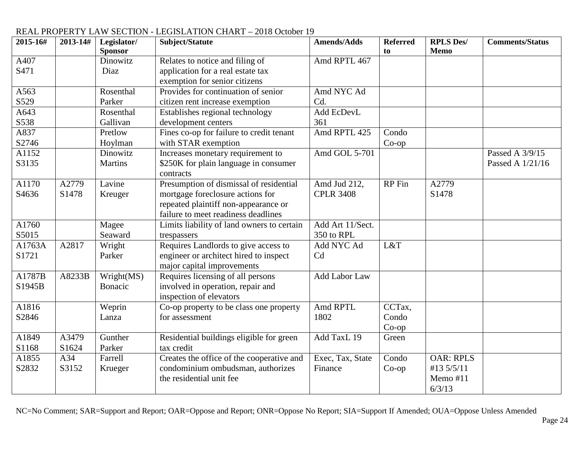| 2015-16# | 2013-14# | Legislator/<br><b>Sponsor</b> | Subject/Statute                                    | <b>Amends/Adds</b>   | <b>Referred</b><br>to | <b>RPLS Des/</b><br><b>Memo</b> | <b>Comments/Status</b> |
|----------|----------|-------------------------------|----------------------------------------------------|----------------------|-----------------------|---------------------------------|------------------------|
| A407     |          | Dinowitz                      | Relates to notice and filing of                    | Amd RPTL 467         |                       |                                 |                        |
| S471     |          | Diaz                          | application for a real estate tax                  |                      |                       |                                 |                        |
|          |          |                               | exemption for senior citizens                      |                      |                       |                                 |                        |
| A563     |          | Rosenthal                     | Provides for continuation of senior                | Amd NYC Ad           |                       |                                 |                        |
| S529     |          | Parker                        | citizen rent increase exemption                    | Cd.                  |                       |                                 |                        |
| A643     |          | Rosenthal                     | Establishes regional technology                    | Add EcDevL           |                       |                                 |                        |
| S538     |          | Gallivan                      | development centers                                | 361                  |                       |                                 |                        |
| A837     |          | Pretlow                       | Fines co-op for failure to credit tenant           | Amd RPTL 425         | Condo                 |                                 |                        |
| S2746    |          | Hoylman                       | with STAR exemption                                |                      | $Co$ -op              |                                 |                        |
| A1152    |          | Dinowitz                      | Increases monetary requirement to                  | Amd GOL 5-701        |                       |                                 | Passed A 3/9/15        |
| S3135    |          | <b>Martins</b>                | \$250K for plain language in consumer<br>contracts |                      |                       |                                 | Passed A 1/21/16       |
| A1170    | A2779    | Lavine                        | Presumption of dismissal of residential            | Amd Jud 212,         | RP Fin                | A2779                           |                        |
| S4636    | S1478    | Kreuger                       | mortgage foreclosure actions for                   | <b>CPLR 3408</b>     |                       | S1478                           |                        |
|          |          |                               | repeated plaintiff non-appearance or               |                      |                       |                                 |                        |
|          |          |                               | failure to meet readiness deadlines                |                      |                       |                                 |                        |
| A1760    |          | Magee                         | Limits liability of land owners to certain         | Add Art 11/Sect.     |                       |                                 |                        |
| S5015    |          | Seaward                       | trespassers                                        | 350 to RPL           |                       |                                 |                        |
| A1763A   | A2817    | Wright                        | Requires Landlords to give access to               | Add NYC Ad           | L&T                   |                                 |                        |
| S1721    |          | Parker                        | engineer or architect hired to inspect             | Cd                   |                       |                                 |                        |
|          |          |                               | major capital improvements                         |                      |                       |                                 |                        |
| A1787B   | A8233B   | Wright(MS)                    | Requires licensing of all persons                  | <b>Add Labor Law</b> |                       |                                 |                        |
| S1945B   |          | <b>Bonacic</b>                | involved in operation, repair and                  |                      |                       |                                 |                        |
|          |          |                               | inspection of elevators                            |                      |                       |                                 |                        |
| A1816    |          | Weprin                        | Co-op property to be class one property            | Amd RPTL             | CCTax,                |                                 |                        |
| S2846    |          | Lanza                         | for assessment                                     | 1802                 | Condo                 |                                 |                        |
|          |          |                               |                                                    |                      | $Co$ -op              |                                 |                        |
| A1849    | A3479    | Gunther                       | Residential buildings eligible for green           | Add TaxL 19          | Green                 |                                 |                        |
| S1168    | S1624    | Parker                        | tax credit                                         |                      |                       |                                 |                        |
| A1855    | A34      | Farrell                       | Creates the office of the cooperative and          | Exec, Tax, State     | Condo                 | <b>OAR: RPLS</b>                |                        |
| S2832    | S3152    | Krueger                       | condominium ombudsman, authorizes                  | Finance              | $Co$ -op              | #13 5/5/11                      |                        |
|          |          |                               | the residential unit fee                           |                      |                       | Memo #11                        |                        |
|          |          |                               |                                                    |                      |                       | 6/3/13                          |                        |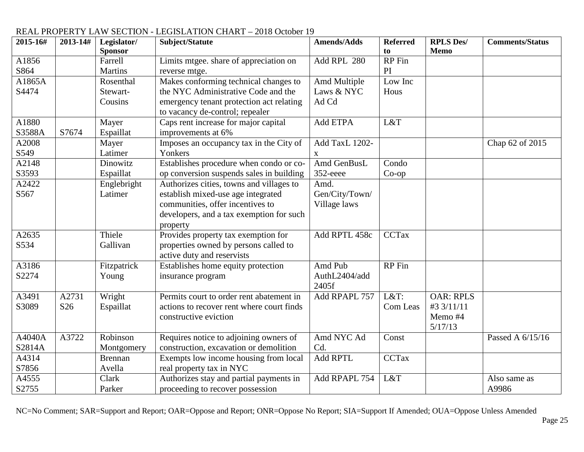| 2015-16# | 2013-14#        | Legislator/    | Subject/Statute                           | <b>Amends/Adds</b> | <b>Referred</b> | <b>RPLS Des/</b> | <b>Comments/Status</b> |
|----------|-----------------|----------------|-------------------------------------------|--------------------|-----------------|------------------|------------------------|
|          |                 | <b>Sponsor</b> |                                           |                    | to              | <b>Memo</b>      |                        |
| A1856    |                 | Farrell        | Limits mtgee. share of appreciation on    | Add RPL 280        | <b>RP</b> Fin   |                  |                        |
| S864     |                 | <b>Martins</b> | reverse mtge.                             |                    | PI              |                  |                        |
| A1865A   |                 | Rosenthal      | Makes conforming technical changes to     | Amd Multiple       | Low Inc         |                  |                        |
| S4474    |                 | Stewart-       | the NYC Administrative Code and the       | Laws & NYC         | Hous            |                  |                        |
|          |                 | Cousins        | emergency tenant protection act relating  | Ad Cd              |                 |                  |                        |
|          |                 |                | to vacancy de-control; repealer           |                    |                 |                  |                        |
| A1880    |                 | Mayer          | Caps rent increase for major capital      | Add ETPA           | L&T             |                  |                        |
| S3588A   | S7674           | Espaillat      | improvements at 6%                        |                    |                 |                  |                        |
| A2008    |                 | Mayer          | Imposes an occupancy tax in the City of   | Add TaxL 1202-     |                 |                  | Chap 62 of 2015        |
| S549     |                 | Latimer        | Yonkers                                   | $\mathbf{X}$       |                 |                  |                        |
| A2148    |                 | Dinowitz       | Establishes procedure when condo or co-   | Amd GenBusL        | Condo           |                  |                        |
| S3593    |                 | Espaillat      | op conversion suspends sales in building  | 352-eeee           | $Co$ -op        |                  |                        |
| A2422    |                 | Englebright    | Authorizes cities, towns and villages to  | Amd.               |                 |                  |                        |
| S567     |                 | Latimer        | establish mixed-use age integrated        | Gen/City/Town/     |                 |                  |                        |
|          |                 |                | communities, offer incentives to          | Village laws       |                 |                  |                        |
|          |                 |                | developers, and a tax exemption for such  |                    |                 |                  |                        |
|          |                 |                | property                                  |                    |                 |                  |                        |
| A2635    |                 | Thiele         | Provides property tax exemption for       | Add RPTL 458c      | <b>CCTax</b>    |                  |                        |
| S534     |                 | Gallivan       | properties owned by persons called to     |                    |                 |                  |                        |
|          |                 |                | active duty and reservists                |                    |                 |                  |                        |
| A3186    |                 | Fitzpatrick    | Establishes home equity protection        | Amd Pub            | <b>RP</b> Fin   |                  |                        |
| S2274    |                 | Young          | insurance program                         | AuthL2404/add      |                 |                  |                        |
|          |                 |                |                                           | 2405f              |                 |                  |                        |
| A3491    | A2731           | Wright         | Permits court to order rent abatement in  | Add RPAPL 757      | $L&T$ :         | <b>OAR: RPLS</b> |                        |
| S3089    | S <sub>26</sub> | Espaillat      | actions to recover rent where court finds |                    | Com Leas        | #3 3/11/11       |                        |
|          |                 |                | constructive eviction                     |                    |                 | Memo #4          |                        |
|          |                 |                |                                           |                    |                 | 5/17/13          |                        |
| A4040A   | A3722           | Robinson       | Requires notice to adjoining owners of    | Amd NYC Ad         | Const           |                  | Passed A 6/15/16       |
| S2814A   |                 | Montgomery     | construction, excavation or demolition    | Cd.                |                 |                  |                        |
| A4314    |                 | <b>Brennan</b> | Exempts low income housing from local     | <b>Add RPTL</b>    | <b>CCTax</b>    |                  |                        |
| S7856    |                 | Avella         | real property tax in NYC                  |                    |                 |                  |                        |
| A4555    |                 | Clark          | Authorizes stay and partial payments in   | Add RPAPL 754      | L&T             |                  | Also same as           |
| S2755    |                 | Parker         | proceeding to recover possession          |                    |                 |                  | A9986                  |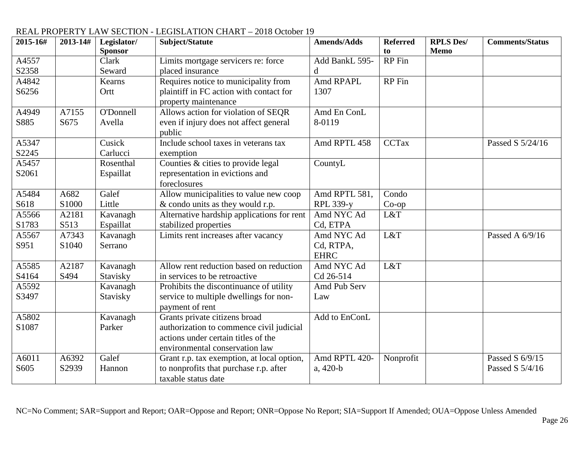#### **2015-16# 2013-14# Legislator/ Sponsor Subject/Statute Amends/Adds Referred to RPLS Des/ Memo Comments/Status** A4557 S2358 Clark Seward Limits mortgage servicers re: force placed insurance Add BankL 595 d RP Fin A4842 S6256 Kearns **Ortt** Requires notice to municipality from plaintiff in FC action with contact for property maintenance Amd RPAPL 1307 RP Fin A4949 S885 A7155 S675 O'Donnell Avella Allows action for violation of SEQR even if injury does not affect general public Amd En ConL 8-0119 A5347 S2245 Cusick Carlucci Include school taxes in veterans tax exemption Amd RPTL 458 CCTax Passed S 5/24/16 A5457 S2061 Rosenthal Espaillat Counties & cities to provide legal representation in evictions and foreclosures CountyL A5484 S618 A682 S1000 Galef Little Allow municipalities to value new coop & condo units as they would r.p. Amd RPTL 581, RPL 339-y Condo Co-op A5566 S1783 A2181 S513 Kavanagh Espaillat Alternative hardship applications for rent stabilized properties Amd NYC Ad Cd, ETPA L&T A5567 S951 A7343 S1040 Kavanagh Serrano Limits rent increases after vacancy Amd NYC Ad Cd, RTPA, EHRC  $L&T$  Passed A  $6/9/16$ A5585 S4164 A2187 S494 Kavanagh Stavisky Allow rent reduction based on reduction in services to be retroactive Amd NYC Ad Cd 26-514 L&T A5592 S3497 Kavanagh Stavisky Prohibits the discontinuance of utility service to multiple dwellings for nonpayment of rent Amd Pub Serv Law A5802 S1087 Kavanagh Parker Grants private citizens broad authorization to commence civil judicial actions under certain titles of the environmental conservation law Add to EnConL A6011 S605 A6392 S2939 Galef Hannon Grant r.p. tax exemption, at local option, to nonprofits that purchase r.p. after taxable status date Amd RPTL 420 a, 420-b Nonprofit Passed S 6/9/15 Passed S 5/4/16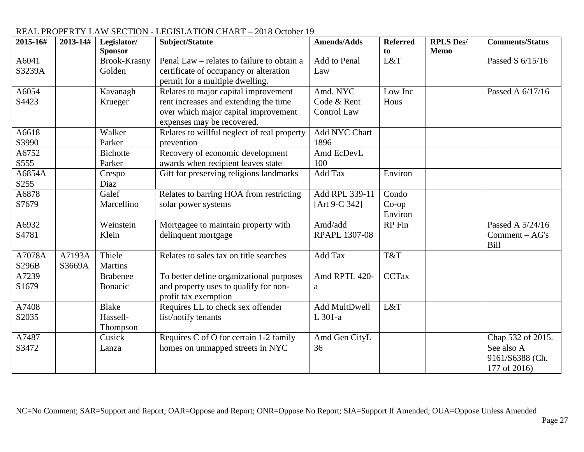#### **2015-16# 2013-14# Legislator/ Sponsor Subject/Statute Amends/Adds Referred to RPLS Des/ Memo Comments/Status** A6041 S3239A Brook-Krasny Golden Penal Law – relates to failure to obtain a certificate of occupancy or alteration permit for a multiple dwelling. Add to Penal Law L&T  $\qquad$  Passed S 6/15/16 A6054 S4423 Kavanagh Krueger Relates to major capital improvement rent increases and extending the time over which major capital improvement expenses may be recovered. Amd. NYC Code & Rent Control Law Low Inc Hous Passed A 6/17/16 A6618 S3990 Walker Parker Relates to willful neglect of real property prevention Add NYC Chart 1896 A6752 S555 **Bichotte** Parker Recovery of economic development awards when recipient leaves state Amd EcDevL 100 A6854A S255 Crespo Diaz Gift for preserving religions landmarks Add Tax Environ A6878 S7679 Galef Marcellino Relates to barring HOA from restricting solar power systems Add RPL 339-11 [Art 9-C 342] Condo Co-op Environ A6932 S4781 Weinstein Klein Mortgagee to maintain property with delinquent mortgage Amd/add RPAPL 1307-08 RP Fin Passed A 5/24/16 Comment – AG's Bill A7078A S296B A7193A S3669A Thiele **Martins** Relates to sales tax on title searches  $\overrightarrow{A}$  Add Tax  $\overrightarrow{Tx}$ A7239 S1679 Brabenee Bonacic To better define organizational purposes and property uses to qualify for nonprofit tax exemption Amd RPTL 420 a CCTax A7408 S2035 Blake Hassell-Thompson Requires LL to check sex offender list/notify tenants Add MultDwell L 301-a L&T A7487 S3472 Cusick Lanza Requires C of O for certain 1-2 family homes on unmapped streets in NYC Amd Gen CityL 36 Chap 532 of 2015. See also A 9161/S6388 (Ch. 177 of 2016)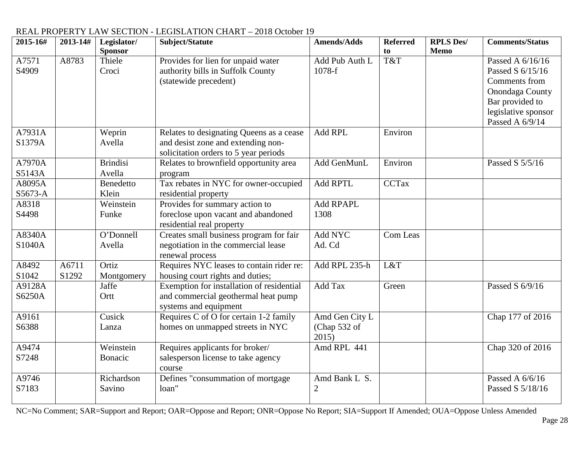| 2015-16#          | 2013-14#       | Legislator/<br><b>Sponsor</b> | Subject/Statute                                                                                                         | <b>Amends/Adds</b>                      | <b>Referred</b><br>to | <b>RPLS Des/</b><br><b>Memo</b> | <b>Comments/Status</b>                                                                                                                |
|-------------------|----------------|-------------------------------|-------------------------------------------------------------------------------------------------------------------------|-----------------------------------------|-----------------------|---------------------------------|---------------------------------------------------------------------------------------------------------------------------------------|
| A7571<br>S4909    | A8783          | Thiele<br>Croci               | Provides for lien for unpaid water<br>authority bills in Suffolk County<br>(statewide precedent)                        | Add Pub Auth L<br>1078-f                | $\overline{T}$ &T     |                                 | Passed A 6/16/16<br>Passed S 6/15/16<br>Comments from<br>Onondaga County<br>Bar provided to<br>legislative sponsor<br>Passed A 6/9/14 |
| A7931A<br>S1379A  |                | Weprin<br>Avella              | Relates to designating Queens as a cease<br>and desist zone and extending non-<br>solicitation orders to 5 year periods | Add RPL                                 | Environ               |                                 |                                                                                                                                       |
| A7970A<br>S5143A  |                | <b>Brindisi</b><br>Avella     | Relates to brownfield opportunity area<br>program                                                                       | Add GenMunL                             | Environ               |                                 | Passed S 5/5/16                                                                                                                       |
| A8095A<br>S5673-A |                | Benedetto<br>Klein            | Tax rebates in NYC for owner-occupied<br>residential property                                                           | <b>Add RPTL</b>                         | <b>CCTax</b>          |                                 |                                                                                                                                       |
| A8318<br>S4498    |                | Weinstein<br>Funke            | Provides for summary action to<br>foreclose upon vacant and abandoned<br>residential real property                      | <b>Add RPAPL</b><br>1308                |                       |                                 |                                                                                                                                       |
| A8340A<br>S1040A  |                | O'Donnell<br>Avella           | Creates small business program for fair<br>negotiation in the commercial lease<br>renewal process                       | Add NYC<br>Ad. Cd                       | Com Leas              |                                 |                                                                                                                                       |
| A8492<br>S1042    | A6711<br>S1292 | Ortiz<br>Montgomery           | Requires NYC leases to contain rider re:<br>housing court rights and duties;                                            | Add RPL 235-h                           | L&T                   |                                 |                                                                                                                                       |
| A9128A<br>S6250A  |                | Jaffe<br>Ortt                 | Exemption for installation of residential<br>and commercial geothermal heat pump<br>systems and equipment               | Add Tax                                 | Green                 |                                 | Passed S 6/9/16                                                                                                                       |
| A9161<br>S6388    |                | Cusick<br>Lanza               | Requires C of O for certain 1-2 family<br>homes on unmapped streets in NYC                                              | Amd Gen City L<br>(Chap 532 of<br>2015) |                       |                                 | Chap 177 of 2016                                                                                                                      |
| A9474<br>S7248    |                | Weinstein<br>Bonacic          | Requires applicants for broker/<br>salesperson license to take agency<br>course                                         | Amd RPL 441                             |                       |                                 | Chap 320 of 2016                                                                                                                      |
| A9746<br>S7183    |                | Richardson<br>Savino          | Defines "consummation of mortgage<br>loan"                                                                              | Amd Bank L S.<br>$\overline{2}$         |                       |                                 | Passed A 6/6/16<br>Passed S 5/18/16                                                                                                   |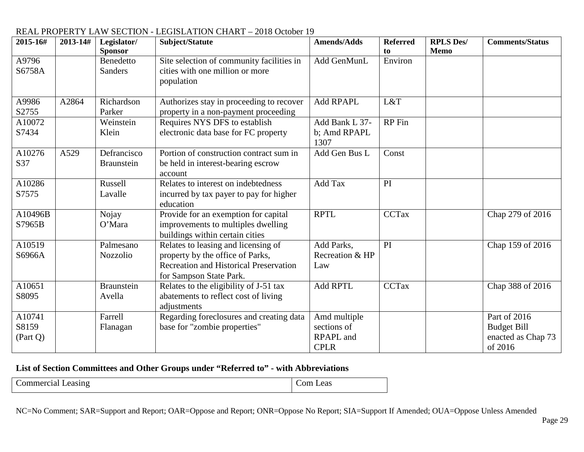| 2015-16# | 2013-14# | Legislator/       | Subject/Statute                               | <b>Amends/Adds</b> | <b>Referred</b> | <b>RPLS Des/</b> | <b>Comments/Status</b> |
|----------|----------|-------------------|-----------------------------------------------|--------------------|-----------------|------------------|------------------------|
|          |          | <b>Sponsor</b>    |                                               |                    | to              | <b>Memo</b>      |                        |
| A9796    |          | Benedetto         | Site selection of community facilities in     | Add GenMunL        | Environ         |                  |                        |
| S6758A   |          | <b>Sanders</b>    | cities with one million or more               |                    |                 |                  |                        |
|          |          |                   | population                                    |                    |                 |                  |                        |
|          |          |                   |                                               |                    |                 |                  |                        |
| A9986    | A2864    | Richardson        | Authorizes stay in proceeding to recover      | Add RPAPL          | L&T             |                  |                        |
| S2755    |          | Parker            | property in a non-payment proceeding          |                    |                 |                  |                        |
| A10072   |          | Weinstein         | Requires NYS DFS to establish                 | Add Bank L 37-     | RP Fin          |                  |                        |
| S7434    |          | Klein             | electronic data base for FC property          | b; Amd RPAPL       |                 |                  |                        |
|          |          |                   |                                               | 1307               |                 |                  |                        |
| A10276   | A529     | Defrancisco       | Portion of construction contract sum in       | Add Gen Bus L      | Const           |                  |                        |
| S37      |          | <b>Braunstein</b> | be held in interest-bearing escrow            |                    |                 |                  |                        |
|          |          |                   | account                                       |                    |                 |                  |                        |
| A10286   |          | Russell           | Relates to interest on indebtedness           | Add Tax            | PI              |                  |                        |
| S7575    |          | Lavalle           | incurred by tax payer to pay for higher       |                    |                 |                  |                        |
|          |          |                   | education                                     |                    |                 |                  |                        |
| A10496B  |          | Nojay             | Provide for an exemption for capital          | <b>RPTL</b>        | <b>CCTax</b>    |                  | Chap 279 of 2016       |
| S7965B   |          | O'Mara            | improvements to multiples dwelling            |                    |                 |                  |                        |
|          |          |                   | buildings within certain cities               |                    |                 |                  |                        |
| A10519   |          | Palmesano         | Relates to leasing and licensing of           | Add Parks,         | PI              |                  | Chap 159 of 2016       |
| S6966A   |          | Nozzolio          | property by the office of Parks,              | Recreation & HP    |                 |                  |                        |
|          |          |                   | <b>Recreation and Historical Preservation</b> | Law                |                 |                  |                        |
|          |          |                   | for Sampson State Park.                       |                    |                 |                  |                        |
| A10651   |          | <b>Braunstein</b> | Relates to the eligibility of J-51 tax        | <b>Add RPTL</b>    | <b>CCTax</b>    |                  | Chap 388 of 2016       |
| S8095    |          | Avella            | abatements to reflect cost of living          |                    |                 |                  |                        |
|          |          |                   | adjustments                                   |                    |                 |                  |                        |
| A10741   |          | Farrell           | Regarding foreclosures and creating data      | Amd multiple       |                 |                  | Part of 2016           |
| S8159    |          | Flanagan          | base for "zombie properties"                  | sections of        |                 |                  | <b>Budget Bill</b>     |
| (Part Q) |          |                   |                                               | RPAPL and          |                 |                  | enacted as Chap 73     |
|          |          |                   |                                               | <b>CPLR</b>        |                 |                  | of 2016                |

#### **List of Section Committees and Other Groups under "Referred to" - with Abbreviations**

Commercial Leasing Commercial Commercial Commercial Commercial Commercial Commercial Commercial Commercial Commercial Commercial Commercial Commercial Commercial Commercial Commercial Commercial Commercial Commercial Comme